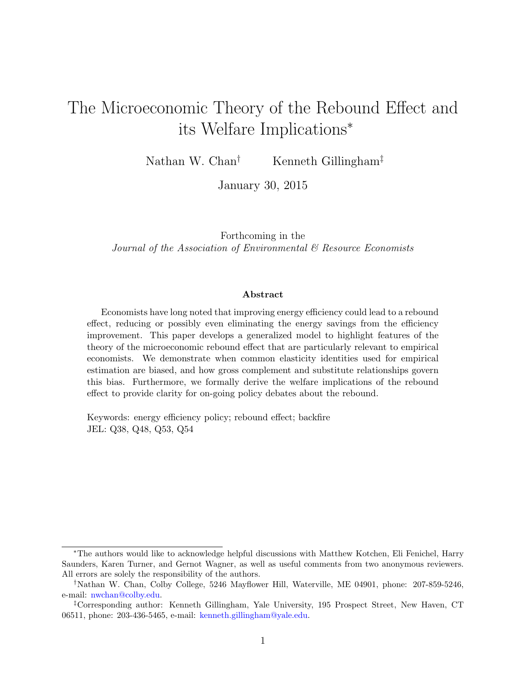# <span id="page-0-0"></span>The Microeconomic Theory of the Rebound Effect and its Welfare Implications<sup>∗</sup>

Nathan W. Chan<sup>†</sup> Kenneth Gillingham<sup>‡</sup>

January 30, 2015

Forthcoming in the Journal of the Association of Environmental & Resource Economists

#### Abstract

Economists have long noted that improving energy efficiency could lead to a rebound effect, reducing or possibly even eliminating the energy savings from the efficiency improvement. This paper develops a generalized model to highlight features of the theory of the microeconomic rebound effect that are particularly relevant to empirical economists. We demonstrate when common elasticity identities used for empirical estimation are biased, and how gross complement and substitute relationships govern this bias. Furthermore, we formally derive the welfare implications of the rebound effect to provide clarity for on-going policy debates about the rebound.

Keywords: energy efficiency policy; rebound effect; backfire JEL: Q38, Q48, Q53, Q54

<sup>∗</sup>The authors would like to acknowledge helpful discussions with Matthew Kotchen, Eli Fenichel, Harry Saunders, Karen Turner, and Gernot Wagner, as well as useful comments from two anonymous reviewers. All errors are solely the responsibility of the authors.

<sup>†</sup>Nathan W. Chan, Colby College, 5246 Mayflower Hill, Waterville, ME 04901, phone: 207-859-5246, e-mail: [nwchan@colby.edu.](mailto:nwchan@colby.edu)

<sup>‡</sup>Corresponding author: Kenneth Gillingham, Yale University, 195 Prospect Street, New Haven, CT 06511, phone: 203-436-5465, e-mail: [kenneth.gillingham@yale.edu.](mailto:kenneth.gillingham@yale.edu)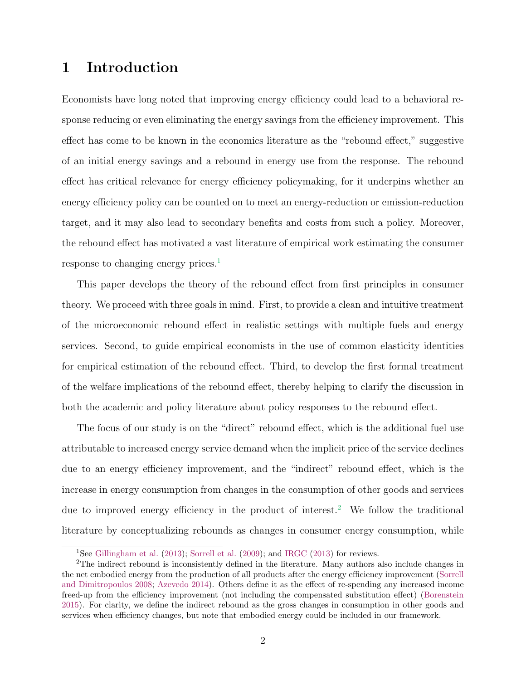# 1 Introduction

Economists have long noted that improving energy efficiency could lead to a behavioral response reducing or even eliminating the energy savings from the efficiency improvement. This effect has come to be known in the economics literature as the "rebound effect," suggestive of an initial energy savings and a rebound in energy use from the response. The rebound effect has critical relevance for energy efficiency policymaking, for it underpins whether an energy efficiency policy can be counted on to meet an energy-reduction or emission-reduction target, and it may also lead to secondary benefits and costs from such a policy. Moreover, the rebound effect has motivated a vast literature of empirical work estimating the consumer response to changing energy prices.[1](#page-0-0)

This paper develops the theory of the rebound effect from first principles in consumer theory. We proceed with three goals in mind. First, to provide a clean and intuitive treatment of the microeconomic rebound effect in realistic settings with multiple fuels and energy services. Second, to guide empirical economists in the use of common elasticity identities for empirical estimation of the rebound effect. Third, to develop the first formal treatment of the welfare implications of the rebound effect, thereby helping to clarify the discussion in both the academic and policy literature about policy responses to the rebound effect.

The focus of our study is on the "direct" rebound effect, which is the additional fuel use attributable to increased energy service demand when the implicit price of the service declines due to an energy efficiency improvement, and the "indirect" rebound effect, which is the increase in energy consumption from changes in the consumption of other goods and services due to improved energy efficiency in the product of interest.<sup>[2](#page-0-0)</sup> We follow the traditional literature by conceptualizing rebounds as changes in consumer energy consumption, while

<sup>&</sup>lt;sup>1</sup>See [Gillingham et al.](#page-32-0)  $(2013)$ ; [Sorrell et al.](#page-34-0)  $(2009)$ ; and [IRGC](#page-33-0)  $(2013)$  for reviews.

<sup>2</sup>The indirect rebound is inconsistently defined in the literature. Many authors also include changes in the net embodied energy from the production of all products after the energy efficiency improvement [\(Sorrell](#page-34-1) [and Dimitropoulos](#page-34-1) [2008;](#page-34-1) [Azevedo](#page-31-0) [2014\)](#page-31-0). Others define it as the effect of re-spending any increased income freed-up from the efficiency improvement (not including the compensated substitution effect) [\(Borenstein](#page-31-1) [2015\)](#page-31-1). For clarity, we define the indirect rebound as the gross changes in consumption in other goods and services when efficiency changes, but note that embodied energy could be included in our framework.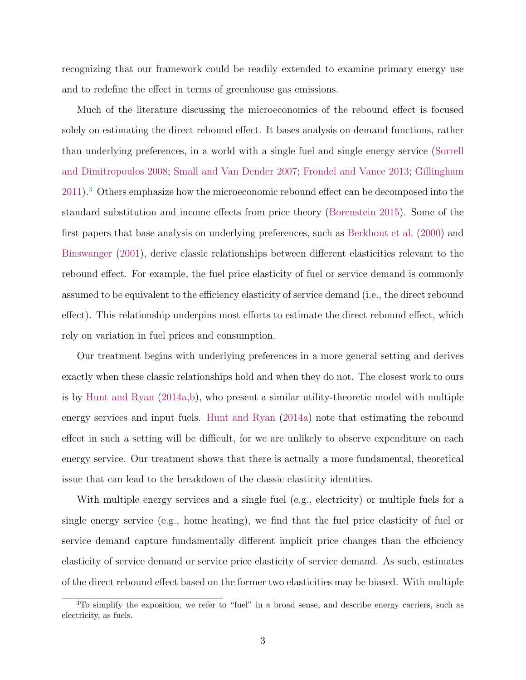recognizing that our framework could be readily extended to examine primary energy use and to redefine the effect in terms of greenhouse gas emissions.

Much of the literature discussing the microeconomics of the rebound effect is focused solely on estimating the direct rebound effect. It bases analysis on demand functions, rather than underlying preferences, in a world with a single fuel and single energy service [\(Sorrell](#page-34-1) [and Dimitropoulos](#page-34-1) [2008;](#page-34-1) [Small and Van Dender](#page-34-2) [2007;](#page-34-2) [Frondel and Vance](#page-32-1) [2013;](#page-32-1) [Gillingham](#page-32-2) [2011\)](#page-32-2).[3](#page-0-0) Others emphasize how the microeconomic rebound effect can be decomposed into the standard substitution and income effects from price theory [\(Borenstein](#page-31-1) [2015\)](#page-31-1). Some of the first papers that base analysis on underlying preferences, such as [Berkhout et al.](#page-31-2) [\(2000\)](#page-31-2) and [Binswanger](#page-31-3) [\(2001\)](#page-31-3), derive classic relationships between different elasticities relevant to the rebound effect. For example, the fuel price elasticity of fuel or service demand is commonly assumed to be equivalent to the efficiency elasticity of service demand (i.e., the direct rebound effect). This relationship underpins most efforts to estimate the direct rebound effect, which rely on variation in fuel prices and consumption.

Our treatment begins with underlying preferences in a more general setting and derives exactly when these classic relationships hold and when they do not. The closest work to ours is by [Hunt and Ryan](#page-33-1) [\(2014a,](#page-33-1)[b\)](#page-33-2), who present a similar utility-theoretic model with multiple energy services and input fuels. [Hunt and Ryan](#page-33-1) [\(2014a\)](#page-33-1) note that estimating the rebound effect in such a setting will be difficult, for we are unlikely to observe expenditure on each energy service. Our treatment shows that there is actually a more fundamental, theoretical issue that can lead to the breakdown of the classic elasticity identities.

With multiple energy services and a single fuel (e.g., electricity) or multiple fuels for a single energy service (e.g., home heating), we find that the fuel price elasticity of fuel or service demand capture fundamentally different implicit price changes than the efficiency elasticity of service demand or service price elasticity of service demand. As such, estimates of the direct rebound effect based on the former two elasticities may be biased. With multiple

<sup>3</sup>To simplify the exposition, we refer to "fuel" in a broad sense, and describe energy carriers, such as electricity, as fuels.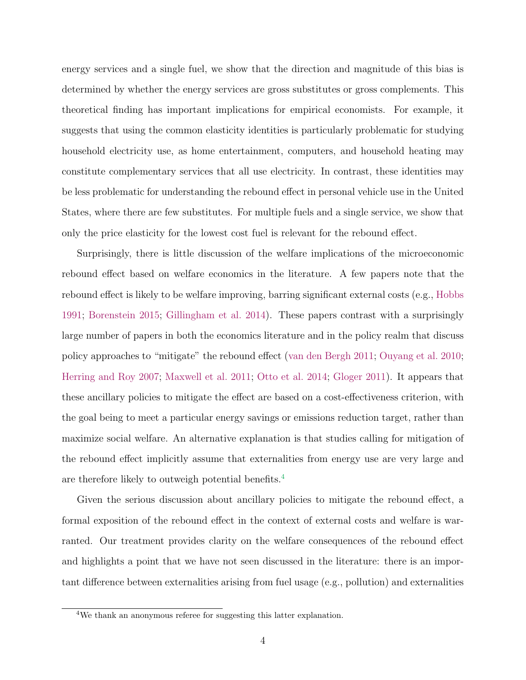energy services and a single fuel, we show that the direction and magnitude of this bias is determined by whether the energy services are gross substitutes or gross complements. This theoretical finding has important implications for empirical economists. For example, it suggests that using the common elasticity identities is particularly problematic for studying household electricity use, as home entertainment, computers, and household heating may constitute complementary services that all use electricity. In contrast, these identities may be less problematic for understanding the rebound effect in personal vehicle use in the United States, where there are few substitutes. For multiple fuels and a single service, we show that only the price elasticity for the lowest cost fuel is relevant for the rebound effect.

Surprisingly, there is little discussion of the welfare implications of the microeconomic rebound effect based on welfare economics in the literature. A few papers note that the rebound effect is likely to be welfare improving, barring significant external costs (e.g., [Hobbs](#page-33-3) [1991;](#page-33-3) [Borenstein](#page-31-1) [2015;](#page-31-1) [Gillingham et al.](#page-32-3) [2014\)](#page-32-3). These papers contrast with a surprisingly large number of papers in both the economics literature and in the policy realm that discuss policy approaches to "mitigate" the rebound effect [\(van den Bergh](#page-31-4) [2011;](#page-31-4) [Ouyang et al.](#page-33-4) [2010;](#page-33-4) [Herring and Roy](#page-33-5) [2007;](#page-33-5) [Maxwell et al.](#page-33-6) [2011;](#page-33-6) [Otto et al.](#page-33-7) [2014;](#page-33-7) [Gloger](#page-32-4) [2011\)](#page-32-4). It appears that these ancillary policies to mitigate the effect are based on a cost-effectiveness criterion, with the goal being to meet a particular energy savings or emissions reduction target, rather than maximize social welfare. An alternative explanation is that studies calling for mitigation of the rebound effect implicitly assume that externalities from energy use are very large and are therefore likely to outweigh potential benefits.[4](#page-0-0)

Given the serious discussion about ancillary policies to mitigate the rebound effect, a formal exposition of the rebound effect in the context of external costs and welfare is warranted. Our treatment provides clarity on the welfare consequences of the rebound effect and highlights a point that we have not seen discussed in the literature: there is an important difference between externalities arising from fuel usage (e.g., pollution) and externalities

<sup>&</sup>lt;sup>4</sup>We thank an anonymous referee for suggesting this latter explanation.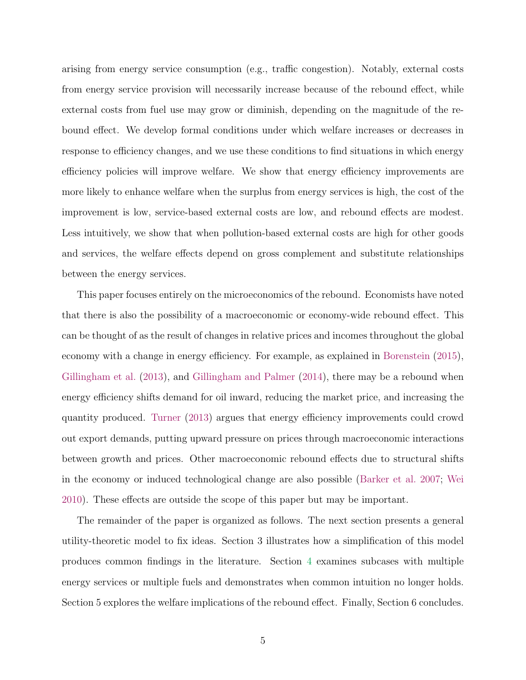arising from energy service consumption (e.g., traffic congestion). Notably, external costs from energy service provision will necessarily increase because of the rebound effect, while external costs from fuel use may grow or diminish, depending on the magnitude of the rebound effect. We develop formal conditions under which welfare increases or decreases in response to efficiency changes, and we use these conditions to find situations in which energy efficiency policies will improve welfare. We show that energy efficiency improvements are more likely to enhance welfare when the surplus from energy services is high, the cost of the improvement is low, service-based external costs are low, and rebound effects are modest. Less intuitively, we show that when pollution-based external costs are high for other goods and services, the welfare effects depend on gross complement and substitute relationships between the energy services.

This paper focuses entirely on the microeconomics of the rebound. Economists have noted that there is also the possibility of a macroeconomic or economy-wide rebound effect. This can be thought of as the result of changes in relative prices and incomes throughout the global economy with a change in energy efficiency. For example, as explained in [Borenstein](#page-31-1) [\(2015\)](#page-31-1), [Gillingham et al.](#page-32-0) [\(2013\)](#page-32-0), and [Gillingham and Palmer](#page-32-5) [\(2014\)](#page-32-5), there may be a rebound when energy efficiency shifts demand for oil inward, reducing the market price, and increasing the quantity produced. [Turner](#page-34-3) [\(2013\)](#page-34-3) argues that energy efficiency improvements could crowd out export demands, putting upward pressure on prices through macroeconomic interactions between growth and prices. Other macroeconomic rebound effects due to structural shifts in the economy or induced technological change are also possible [\(Barker et al.](#page-31-5) [2007;](#page-31-5) [Wei](#page-34-4) [2010\)](#page-34-4). These effects are outside the scope of this paper but may be important.

The remainder of the paper is organized as follows. The next section presents a general utility-theoretic model to fix ideas. Section 3 illustrates how a simplification of this model produces common findings in the literature. Section [4](#page-13-0) examines subcases with multiple energy services or multiple fuels and demonstrates when common intuition no longer holds. Section 5 explores the welfare implications of the rebound effect. Finally, Section 6 concludes.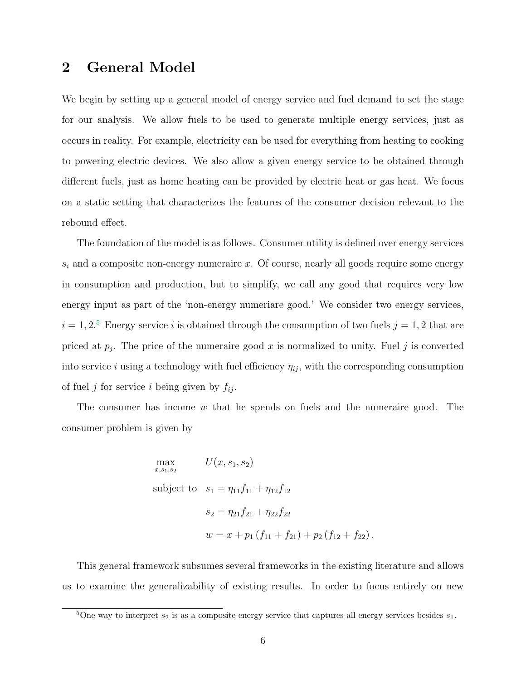# <span id="page-5-0"></span>2 General Model

We begin by setting up a general model of energy service and fuel demand to set the stage for our analysis. We allow fuels to be used to generate multiple energy services, just as occurs in reality. For example, electricity can be used for everything from heating to cooking to powering electric devices. We also allow a given energy service to be obtained through different fuels, just as home heating can be provided by electric heat or gas heat. We focus on a static setting that characterizes the features of the consumer decision relevant to the rebound effect.

The foundation of the model is as follows. Consumer utility is defined over energy services  $s_i$  and a composite non-energy numeraire x. Of course, nearly all goods require some energy in consumption and production, but to simplify, we call any good that requires very low energy input as part of the 'non-energy numeriare good.' We consider two energy services,  $i = 1, 2$ <sup>[5](#page-0-0)</sup> Energy service i is obtained through the consumption of two fuels  $j = 1, 2$  that are priced at  $p_j$ . The price of the numeraire good x is normalized to unity. Fuel j is converted into service i using a technology with fuel efficiency  $\eta_{ij}$ , with the corresponding consumption of fuel j for service i being given by  $f_{ij}$ .

The consumer has income  $w$  that he spends on fuels and the numeraire good. The consumer problem is given by

$$
\max_{x,s_1,s_2} U(x, s_1, s_2)
$$
\nsubject to  $s_1 = \eta_{11} f_{11} + \eta_{12} f_{12}$   
\n
$$
s_2 = \eta_{21} f_{21} + \eta_{22} f_{22}
$$
\n
$$
w = x + p_1 (f_{11} + f_{21}) + p_2 (f_{12} + f_{22}).
$$

This general framework subsumes several frameworks in the existing literature and allows us to examine the generalizability of existing results. In order to focus entirely on new

<sup>&</sup>lt;sup>5</sup>One way to interpret  $s_2$  is as a composite energy service that captures all energy services besides  $s_1$ .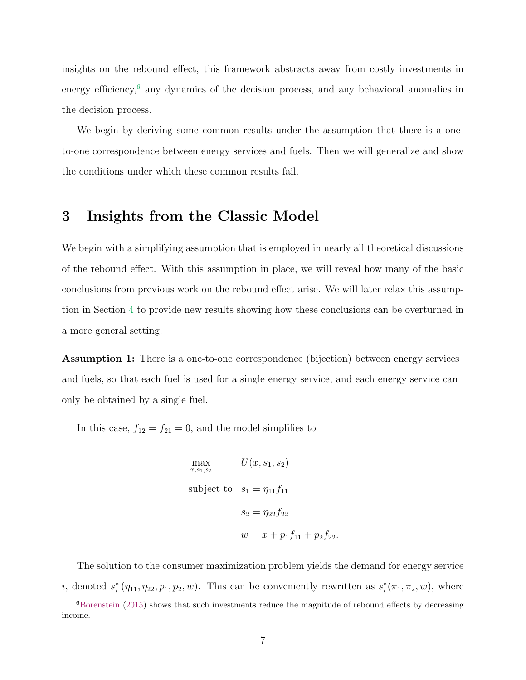insights on the rebound effect, this framework abstracts away from costly investments in energy efficiency, $6$  any dynamics of the decision process, and any behavioral anomalies in the decision process.

We begin by deriving some common results under the assumption that there is a oneto-one correspondence between energy services and fuels. Then we will generalize and show the conditions under which these common results fail.

# <span id="page-6-0"></span>3 Insights from the Classic Model

We begin with a simplifying assumption that is employed in nearly all theoretical discussions of the rebound effect. With this assumption in place, we will reveal how many of the basic conclusions from previous work on the rebound effect arise. We will later relax this assumption in Section [4](#page-13-0) to provide new results showing how these conclusions can be overturned in a more general setting.

Assumption 1: There is a one-to-one correspondence (bijection) between energy services and fuels, so that each fuel is used for a single energy service, and each energy service can only be obtained by a single fuel.

In this case,  $f_{12} = f_{21} = 0$ , and the model simplifies to

$$
\max_{x,s_1,s_2} U(x, s_1, s_2)
$$
\nsubject to  $s_1 = \eta_{11} f_{11}$   
\n
$$
s_2 = \eta_{22} f_{22}
$$
\n
$$
w = x + p_1 f_{11} + p_2 f_{22}.
$$

The solution to the consumer maximization problem yields the demand for energy service *i*, denoted  $s_i^*(\eta_{11}, \eta_{22}, p_1, p_2, w)$ . This can be conveniently rewritten as  $s_i^*(\pi_1, \pi_2, w)$ , where

 $6B$ orenstein [\(2015\)](#page-31-1) shows that such investments reduce the magnitude of rebound effects by decreasing income.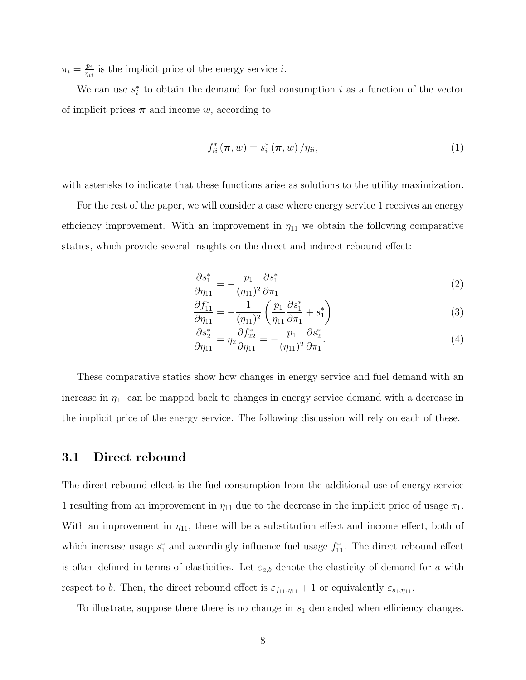$\pi_i = \frac{p_i}{n_i}$  $\frac{p_i}{\eta_{ii}}$  is the implicit price of the energy service *i*.

We can use  $s_i^*$  to obtain the demand for fuel consumption i as a function of the vector of implicit prices  $\pi$  and income w, according to

$$
f_{ii}^*(\pi, w) = s_i^*(\pi, w) / \eta_{ii},
$$
\n(1)

with asterisks to indicate that these functions arise as solutions to the utility maximization.

For the rest of the paper, we will consider a case where energy service 1 receives an energy efficiency improvement. With an improvement in  $\eta_{11}$  we obtain the following comparative statics, which provide several insights on the direct and indirect rebound effect:

<span id="page-7-0"></span>
$$
\frac{\partial s_1^*}{\partial \eta_{11}} = -\frac{p_1}{(\eta_{11})^2} \frac{\partial s_1^*}{\partial \pi_1} \tag{2}
$$

<span id="page-7-1"></span>
$$
\frac{\partial f_{11}^*}{\partial \eta_{11}} = -\frac{1}{(\eta_{11})^2} \left( \frac{p_1}{\eta_{11}} \frac{\partial s_1^*}{\partial \pi_1} + s_1^* \right)
$$
(3)

<span id="page-7-2"></span>
$$
\frac{\partial s_2^*}{\partial \eta_{11}} = \eta_2 \frac{\partial f_{22}^*}{\partial \eta_{11}} = -\frac{p_1}{(\eta_{11})^2} \frac{\partial s_2^*}{\partial \pi_1}.
$$
\n(4)

These comparative statics show how changes in energy service and fuel demand with an increase in  $\eta_{11}$  can be mapped back to changes in energy service demand with a decrease in the implicit price of the energy service. The following discussion will rely on each of these.

#### 3.1 Direct rebound

The direct rebound effect is the fuel consumption from the additional use of energy service 1 resulting from an improvement in  $\eta_{11}$  due to the decrease in the implicit price of usage  $\pi_1$ . With an improvement in  $\eta_{11}$ , there will be a substitution effect and income effect, both of which increase usage  $s_1^*$  and accordingly influence fuel usage  $f_{11}^*$ . The direct rebound effect is often defined in terms of elasticities. Let  $\varepsilon_{a,b}$  denote the elasticity of demand for a with respect to b. Then, the direct rebound effect is  $\varepsilon_{f_1,f_1,\eta_{11}} + 1$  or equivalently  $\varepsilon_{s_1,\eta_{11}}$ .

To illustrate, suppose there there is no change in  $s_1$  demanded when efficiency changes.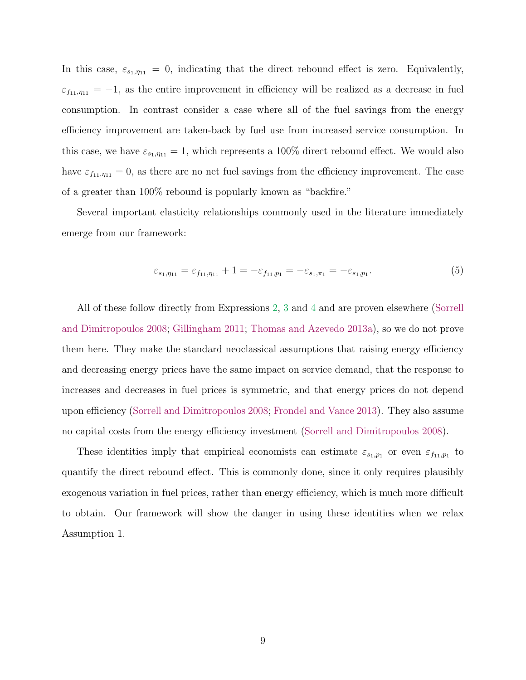In this case,  $\varepsilon_{s_1,\eta_{11}} = 0$ , indicating that the direct rebound effect is zero. Equivalently,  $\varepsilon_{f_{11},\eta_{11}} = -1$ , as the entire improvement in efficiency will be realized as a decrease in fuel consumption. In contrast consider a case where all of the fuel savings from the energy efficiency improvement are taken-back by fuel use from increased service consumption. In this case, we have  $\varepsilon_{s_1,\eta_{11}} = 1$ , which represents a 100% direct rebound effect. We would also have  $\varepsilon_{f_{11},\eta_{11}} = 0$ , as there are no net fuel savings from the efficiency improvement. The case of a greater than 100% rebound is popularly known as "backfire."

Several important elasticity relationships commonly used in the literature immediately emerge from our framework:

<span id="page-8-0"></span>
$$
\varepsilon_{s_1,\eta_{11}} = \varepsilon_{f_{11},\eta_{11}} + 1 = -\varepsilon_{f_{11},p_1} = -\varepsilon_{s_1,\pi_1} = -\varepsilon_{s_1,p_1}.\tag{5}
$$

All of these follow directly from Expressions [2,](#page-7-0) [3](#page-7-1) and [4](#page-7-2) and are proven elsewhere [\(Sorrell](#page-34-1) [and Dimitropoulos](#page-34-1) [2008;](#page-34-1) [Gillingham](#page-32-2) [2011;](#page-32-2) [Thomas and Azevedo](#page-34-5) [2013a\)](#page-34-5), so we do not prove them here. They make the standard neoclassical assumptions that raising energy efficiency and decreasing energy prices have the same impact on service demand, that the response to increases and decreases in fuel prices is symmetric, and that energy prices do not depend upon efficiency [\(Sorrell and Dimitropoulos](#page-34-1) [2008;](#page-34-1) [Frondel and Vance](#page-32-1) [2013\)](#page-32-1). They also assume no capital costs from the energy efficiency investment [\(Sorrell and Dimitropoulos](#page-34-1) [2008\)](#page-34-1).

These identities imply that empirical economists can estimate  $\varepsilon_{s_1,p_1}$  or even  $\varepsilon_{f_1,p_1}$  to quantify the direct rebound effect. This is commonly done, since it only requires plausibly exogenous variation in fuel prices, rather than energy efficiency, which is much more difficult to obtain. Our framework will show the danger in using these identities when we relax Assumption 1.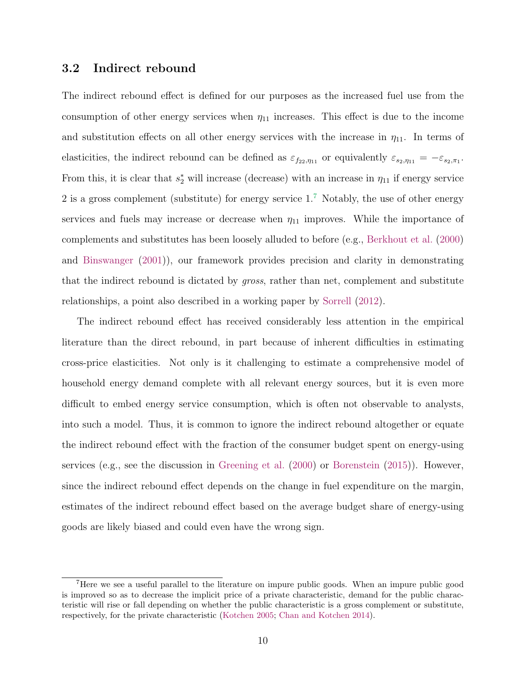### 3.2 Indirect rebound

The indirect rebound effect is defined for our purposes as the increased fuel use from the consumption of other energy services when  $\eta_{11}$  increases. This effect is due to the income and substitution effects on all other energy services with the increase in  $\eta_{11}$ . In terms of elasticities, the indirect rebound can be defined as  $\varepsilon_{f_{22},\eta_{11}}$  or equivalently  $\varepsilon_{s_2,\eta_{11}} = -\varepsilon_{s_2,\pi_1}$ . From this, it is clear that  $s_2^*$  will increase (decrease) with an increase in  $\eta_{11}$  if energy service 2 is a gross complement (substitute) for energy service  $1<sup>7</sup>$  $1<sup>7</sup>$  $1<sup>7</sup>$  Notably, the use of other energy services and fuels may increase or decrease when  $\eta_{11}$  improves. While the importance of complements and substitutes has been loosely alluded to before (e.g., [Berkhout et al.](#page-31-2) [\(2000\)](#page-31-2) and [Binswanger](#page-31-3) [\(2001\)](#page-31-3)), our framework provides precision and clarity in demonstrating that the indirect rebound is dictated by gross, rather than net, complement and substitute relationships, a point also described in a working paper by [Sorrell](#page-34-6) [\(2012\)](#page-34-6).

The indirect rebound effect has received considerably less attention in the empirical literature than the direct rebound, in part because of inherent difficulties in estimating cross-price elasticities. Not only is it challenging to estimate a comprehensive model of household energy demand complete with all relevant energy sources, but it is even more difficult to embed energy service consumption, which is often not observable to analysts, into such a model. Thus, it is common to ignore the indirect rebound altogether or equate the indirect rebound effect with the fraction of the consumer budget spent on energy-using services (e.g., see the discussion in [Greening et al.](#page-32-6) [\(2000\)](#page-32-6) or [Borenstein](#page-31-1) [\(2015\)](#page-31-1)). However, since the indirect rebound effect depends on the change in fuel expenditure on the margin, estimates of the indirect rebound effect based on the average budget share of energy-using goods are likely biased and could even have the wrong sign.

<sup>7</sup>Here we see a useful parallel to the literature on impure public goods. When an impure public good is improved so as to decrease the implicit price of a private characteristic, demand for the public characteristic will rise or fall depending on whether the public characteristic is a gross complement or substitute, respectively, for the private characteristic [\(Kotchen](#page-33-8) [2005;](#page-33-8) [Chan and Kotchen](#page-31-6) [2014\)](#page-31-6).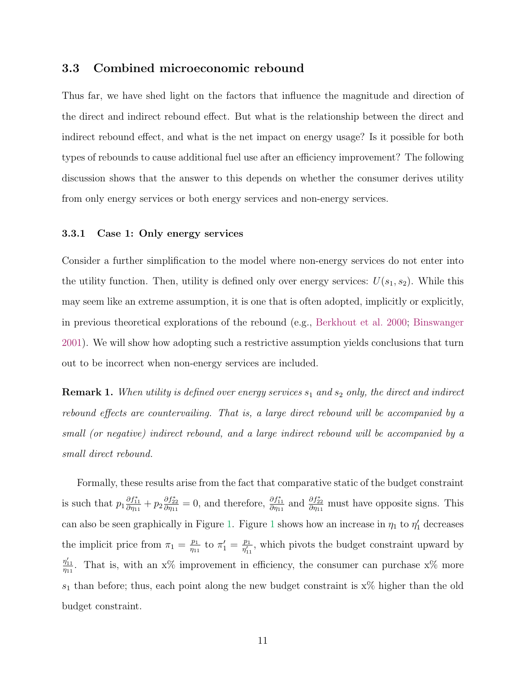### 3.3 Combined microeconomic rebound

Thus far, we have shed light on the factors that influence the magnitude and direction of the direct and indirect rebound effect. But what is the relationship between the direct and indirect rebound effect, and what is the net impact on energy usage? Is it possible for both types of rebounds to cause additional fuel use after an efficiency improvement? The following discussion shows that the answer to this depends on whether the consumer derives utility from only energy services or both energy services and non-energy services.

#### 3.3.1 Case 1: Only energy services

Consider a further simplification to the model where non-energy services do not enter into the utility function. Then, utility is defined only over energy services:  $U(s_1, s_2)$ . While this may seem like an extreme assumption, it is one that is often adopted, implicitly or explicitly, in previous theoretical explorations of the rebound (e.g., [Berkhout et al.](#page-31-2) [2000;](#page-31-2) [Binswanger](#page-31-3) [2001\)](#page-31-3). We will show how adopting such a restrictive assumption yields conclusions that turn out to be incorrect when non-energy services are included.

<span id="page-10-0"></span>**Remark 1.** When utility is defined over energy services  $s_1$  and  $s_2$  only, the direct and indirect rebound effects are countervailing. That is, a large direct rebound will be accompanied by a small (or negative) indirect rebound, and a large indirect rebound will be accompanied by a small direct rebound.

Formally, these results arise from the fact that comparative static of the budget constraint is such that  $p_1 \frac{\partial f_{11}^*}{\partial \eta_{11}} + p_2 \frac{\partial f_{22}^*}{\partial \eta_{11}} = 0$ , and therefore,  $\frac{\partial f_{11}^*}{\partial \eta_{11}}$  and  $\frac{\partial f_{22}^*}{\partial \eta_{11}}$  must have opposite signs. This can also be seen graphically in Figure [1.](#page-35-0) Figure [1](#page-35-0) shows how an increase in  $\eta_1$  to  $\eta'_1$  decreases the implicit price from  $\pi_1 = \frac{p_1}{p_1}$  $\frac{p_1}{\eta_{11}}$  to  $\pi'_1 = \frac{p_1}{\eta'_{11}}$  $\frac{p_1}{\eta'_{11}}$ , which pivots the budget constraint upward by  $\frac{\eta_{11}'}{\eta_{11}}$ . That is, with an x% improvement in efficiency, the consumer can purchase x% more  $s_1$  than before; thus, each point along the new budget constraint is  $x\%$  higher than the old budget constraint.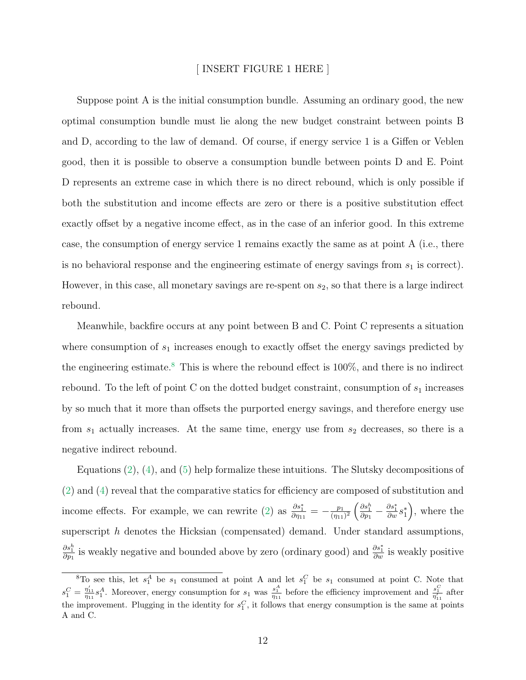#### [ INSERT FIGURE 1 HERE ]

Suppose point A is the initial consumption bundle. Assuming an ordinary good, the new optimal consumption bundle must lie along the new budget constraint between points B and D, according to the law of demand. Of course, if energy service 1 is a Giffen or Veblen good, then it is possible to observe a consumption bundle between points D and E. Point D represents an extreme case in which there is no direct rebound, which is only possible if both the substitution and income effects are zero or there is a positive substitution effect exactly offset by a negative income effect, as in the case of an inferior good. In this extreme case, the consumption of energy service 1 remains exactly the same as at point A (i.e., there is no behavioral response and the engineering estimate of energy savings from  $s<sub>1</sub>$  is correct). However, in this case, all monetary savings are re-spent on  $s_2$ , so that there is a large indirect rebound.

Meanwhile, backfire occurs at any point between B and C. Point C represents a situation where consumption of  $s_1$  increases enough to exactly offset the energy savings predicted by the engineering estimate.<sup>[8](#page-0-0)</sup> This is where the rebound effect is  $100\%$ , and there is no indirect rebound. To the left of point C on the dotted budget constraint, consumption of  $s_1$  increases by so much that it more than offsets the purported energy savings, and therefore energy use from  $s_1$  actually increases. At the same time, energy use from  $s_2$  decreases, so there is a negative indirect rebound.

Equations  $(2)$ ,  $(4)$ , and  $(5)$  help formalize these intuitions. The Slutsky decompositions of [\(2\)](#page-7-0) and [\(4\)](#page-7-2) reveal that the comparative statics for efficiency are composed of substitution and income effects. For example, we can rewrite [\(2\)](#page-7-0) as  $\frac{\partial s_1^*}{\partial \eta_{11}} = -\frac{p_1}{(\eta_{11})}$  $\frac{p_1}{(\eta_{11})^2} \left( \frac{\partial s_1^h}{\partial p_1} - \frac{\partial s_1^*}{\partial w} s_1^* \right)$ , where the superscript h denotes the Hicksian (compensated) demand. Under standard assumptions,  $\frac{\partial s_1^h}{\partial p_1}$  is weakly negative and bounded above by zero (ordinary good) and  $\frac{\partial s_1^*}{\partial w}$  is weakly positive

<sup>&</sup>lt;sup>8</sup>To see this, let  $s_1^A$  be  $s_1$  consumed at point A and let  $s_1^C$  be  $s_1$  consumed at point C. Note that  $s_1^C = \frac{\eta'_{11}}{\eta_{11}} s_1^A$ . Moreover, energy consumption for  $s_1$  was  $\frac{s_1^A}{\eta_{11}}$  before the efficiency improvement and  $\frac{s_1^C}{\eta'_{11}}$  after the improvement. Plugging in the identity for  $s_1^C$ , it follows that energy consumption is the same at points A and C.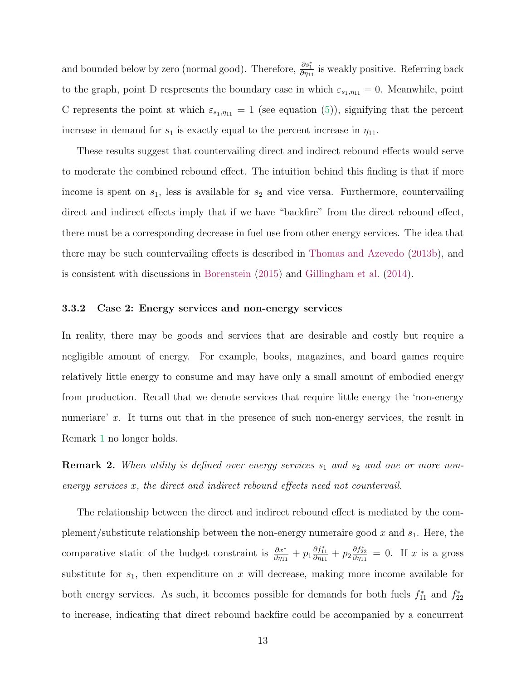and bounded below by zero (normal good). Therefore,  $\frac{\partial s_1^*}{\partial \eta_{11}}$  is weakly positive. Referring back to the graph, point D respresents the boundary case in which  $\varepsilon_{s_1,\eta_{11}} = 0$ . Meanwhile, point C represents the point at which  $\varepsilon_{s_1,\eta_{11}} = 1$  (see equation [\(5\)](#page-8-0)), signifying that the percent increase in demand for  $s_1$  is exactly equal to the percent increase in  $\eta_{11}$ .

These results suggest that countervailing direct and indirect rebound effects would serve to moderate the combined rebound effect. The intuition behind this finding is that if more income is spent on  $s_1$ , less is available for  $s_2$  and vice versa. Furthermore, countervailing direct and indirect effects imply that if we have "backfire" from the direct rebound effect, there must be a corresponding decrease in fuel use from other energy services. The idea that there may be such countervailing effects is described in [Thomas and Azevedo](#page-34-7) [\(2013b\)](#page-34-7), and is consistent with discussions in [Borenstein](#page-31-1) [\(2015\)](#page-31-1) and [Gillingham et al.](#page-32-3) [\(2014\)](#page-32-3).

#### 3.3.2 Case 2: Energy services and non-energy services

In reality, there may be goods and services that are desirable and costly but require a negligible amount of energy. For example, books, magazines, and board games require relatively little energy to consume and may have only a small amount of embodied energy from production. Recall that we denote services that require little energy the 'non-energy numeriare' x. It turns out that in the presence of such non-energy services, the result in Remark [1](#page-10-0) no longer holds.

**Remark 2.** When utility is defined over energy services  $s_1$  and  $s_2$  and one or more nonenergy services x, the direct and indirect rebound effects need not countervail.

The relationship between the direct and indirect rebound effect is mediated by the complement/substitute relationship between the non-energy numeraire good x and  $s_1$ . Here, the comparative static of the budget constraint is  $\frac{\partial x^*}{\partial \eta_{11}} + p_1 \frac{\partial f_{11}^*}{\partial \eta_{11}} + p_2 \frac{\partial f_{22}^*}{\partial \eta_{11}} = 0$ . If x is a gross substitute for  $s_1$ , then expenditure on x will decrease, making more income available for both energy services. As such, it becomes possible for demands for both fuels  $f_{11}^*$  and  $f_{22}^*$ to increase, indicating that direct rebound backfire could be accompanied by a concurrent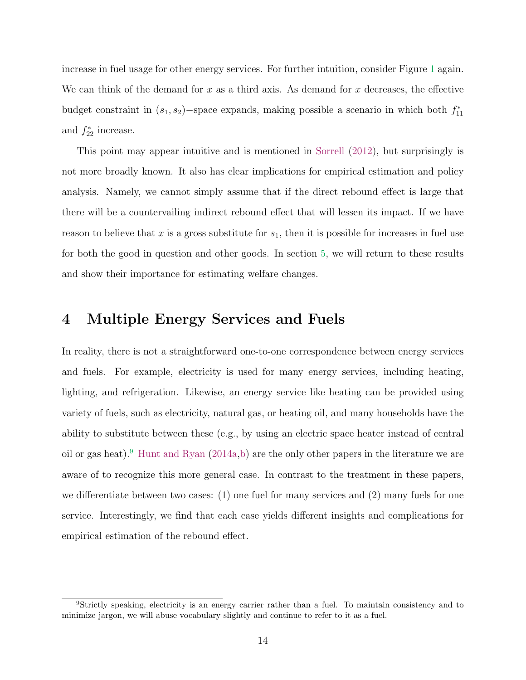increase in fuel usage for other energy services. For further intuition, consider Figure [1](#page-35-0) again. We can think of the demand for x as a third axis. As demand for x decreases, the effective budget constraint in  $(s_1, s_2)$ -space expands, making possible a scenario in which both  $f_{11}^*$ and  $f_{22}^*$  increase.

This point may appear intuitive and is mentioned in [Sorrell](#page-34-6) [\(2012\)](#page-34-6), but surprisingly is not more broadly known. It also has clear implications for empirical estimation and policy analysis. Namely, we cannot simply assume that if the direct rebound effect is large that there will be a countervailing indirect rebound effect that will lessen its impact. If we have reason to believe that x is a gross substitute for  $s<sub>1</sub>$ , then it is possible for increases in fuel use for both the good in question and other goods. In section [5,](#page-19-0) we will return to these results and show their importance for estimating welfare changes.

# <span id="page-13-0"></span>4 Multiple Energy Services and Fuels

In reality, there is not a straightforward one-to-one correspondence between energy services and fuels. For example, electricity is used for many energy services, including heating, lighting, and refrigeration. Likewise, an energy service like heating can be provided using variety of fuels, such as electricity, natural gas, or heating oil, and many households have the ability to substitute between these (e.g., by using an electric space heater instead of central oil or gas heat).[9](#page-0-0) [Hunt and Ryan](#page-33-1) [\(2014a](#page-33-1)[,b\)](#page-33-2) are the only other papers in the literature we are aware of to recognize this more general case. In contrast to the treatment in these papers, we differentiate between two cases:  $(1)$  one fuel for many services and  $(2)$  many fuels for one service. Interestingly, we find that each case yields different insights and complications for empirical estimation of the rebound effect.

<sup>9</sup>Strictly speaking, electricity is an energy carrier rather than a fuel. To maintain consistency and to minimize jargon, we will abuse vocabulary slightly and continue to refer to it as a fuel.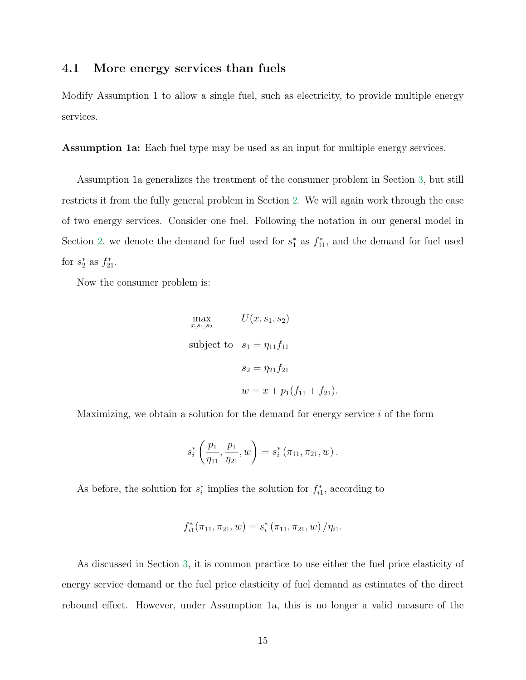### 4.1 More energy services than fuels

Modify Assumption 1 to allow a single fuel, such as electricity, to provide multiple energy services.

Assumption 1a: Each fuel type may be used as an input for multiple energy services.

Assumption 1a generalizes the treatment of the consumer problem in Section [3,](#page-6-0) but still restricts it from the fully general problem in Section [2.](#page-5-0) We will again work through the case of two energy services. Consider one fuel. Following the notation in our general model in Section [2,](#page-5-0) we denote the demand for fuel used for  $s_1^*$  as  $f_{11}^*$ , and the demand for fuel used for  $s_2^*$  as  $f_{21}^*$ .

Now the consumer problem is:

$$
\max_{x, s_1, s_2} U(x, s_1, s_2)
$$
\nsubject to 
$$
s_1 = \eta_{11} f_{11}
$$
\n
$$
s_2 = \eta_{21} f_{21}
$$
\n
$$
w = x + p_1(f_{11} + f_{21}).
$$

Maximizing, we obtain a solution for the demand for energy service  $i$  of the form

$$
s_i^* \left( \frac{p_1}{\eta_{11}}, \frac{p_1}{\eta_{21}}, w \right) = s_i^* \left( \pi_{11}, \pi_{21}, w \right).
$$

As before, the solution for  $s_i^*$  implies the solution for  $f_{i1}^*$ , according to

$$
f_{i1}^*(\pi_{11}, \pi_{21}, w) = s_i^*(\pi_{11}, \pi_{21}, w) / \eta_{i1}.
$$

As discussed in Section [3,](#page-6-0) it is common practice to use either the fuel price elasticity of energy service demand or the fuel price elasticity of fuel demand as estimates of the direct rebound effect. However, under Assumption 1a, this is no longer a valid measure of the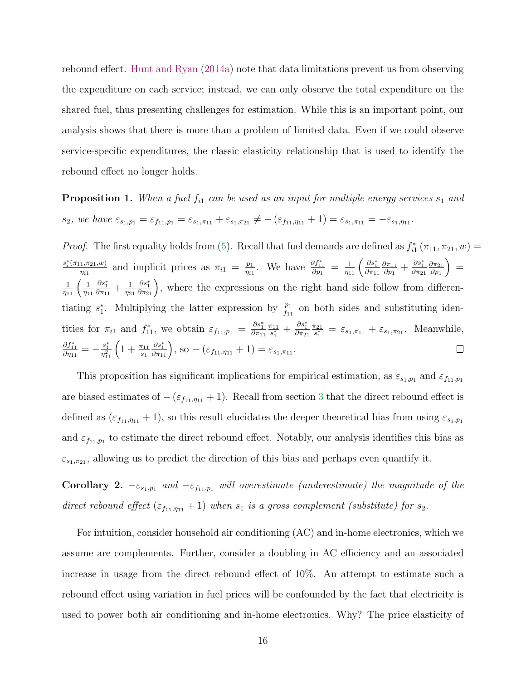rebound effect. [Hunt and Ryan](#page-33-1) [\(2014a\)](#page-33-1) note that data limitations prevent us from observing the expenditure on each service; instead, we can only observe the total expenditure on the shared fuel, thus presenting challenges for estimation. While this is an important point, our analysis shows that there is more than a problem of limited data. Even if we could observe service-specific expenditures, the classic elasticity relationship that is used to identify the rebound effect no longer holds.

**Proposition 1.** When a fuel  $f_{i1}$  can be used as an input for multiple energy services  $s_1$  and  $s_2$ , we have  $\varepsilon_{s_1,p_1} = \varepsilon_{f_{11},p_1} = \varepsilon_{s_1,\pi_{11}} + \varepsilon_{s_1,\pi_{21}} \neq -(\varepsilon_{f_{11},\eta_{11}} + 1) = \varepsilon_{s_1,\pi_{11}} = -\varepsilon_{s_1,\eta_{11}}$ .

*Proof.* The first equality holds from [\(5\)](#page-8-0). Recall that fuel demands are defined as  $f_{i1}^*$  ( $\pi_{11}, \pi_{21}, w$ ) =  $s_i^*(\pi_{11}, \pi_{21}, w)$  $\frac{p_1}{\eta_{i1}}$ . We have  $\frac{\partial f_{11}^*}{\partial p_1} = \frac{1}{\eta_{11}} \left( \frac{\partial s_1^*}{\partial \pi_{11}} \right)$  $\frac{\partial \pi_{11}}{\partial p_1}+\frac{\partial s_1^*}{\partial \pi_{21}}$  $=$  $\frac{1, \pi_{21}, w)}{\eta_{i1}}$  and implicit prices as  $\pi_{i1} = \frac{p_1}{\eta_{i1}}$  $\partial\pi_{11}$  $\partial \pi_{21}$  $\partial p_1$  $\frac{1}{\eta_{11}}\left(\frac{1}{\eta_1}\right)$  $\frac{\partial s_1^*}{\partial \pi_{11}} + \frac{1}{\eta_2}$  $\frac{\partial s_1^*}{\partial \pi_{21}}$ , where the expressions on the right hand side follow from differen- $\eta_{11}$ η<sup>21</sup> tiating  $s_1^*$ . Multiplying the latter expression by  $\frac{p_1}{f_{11}}$  on both sides and substituting identities for  $\pi_{i1}$  and  $f_{11}^*$ , we obtain  $\varepsilon_{f_{11},p_1} = \frac{\partial s_1^*}{\partial \pi_{11}}$  $\frac{\pi_{11}}{s_1^*} + \frac{\partial s_1^*}{\partial \pi_{21}}$  $\frac{\pi_{11}}{2}$  $\frac{\pi_{21}}{2}$  $\frac{\tau_{21}}{s_1^*} = \varepsilon_{s_1, \pi_{11}} + \varepsilon_{s_1, \pi_{21}}.$  Meanwhile,  $\frac{\partial f^{*}_{11}}{\partial \eta_{11}}=-\frac{s^{*}_{1}}{\eta^{2}_{11}}\left( 1+\frac{\pi_{11}}{s_{1}}\right)$  $\frac{\partial s_1^*}{\partial \pi_{11}}$ , so  $-(\varepsilon_{f_{11},\eta_{11}}+1)=\varepsilon_{s_1,\pi_{11}}$ .  $\Box$ 

This proposition has significant implications for empirical estimation, as  $\varepsilon_{s_1,p_1}$  and  $\varepsilon_{f_1,p_1}$ are biased estimates of  $-(\varepsilon_{f_{11},\eta_{11}}+1)$ . Recall from section [3](#page-6-0) that the direct rebound effect is defined as  $(\varepsilon_{f_{11},\eta_{11}}+1)$ , so this result elucidates the deeper theoretical bias from using  $\varepsilon_{s_1,p_1}$ and  $\varepsilon_{f_1,f_2}$  to estimate the direct rebound effect. Notably, our analysis identifies this bias as  $\varepsilon_{s_1,\pi_{21}}$ , allowing us to predict the direction of this bias and perhaps even quantify it.

**Corollary 2.**  $-\varepsilon_{s_1,p_1}$  and  $-\varepsilon_{f_1,p_1}$  will overestimate (underestimate) the magnitude of the direct rebound effect  $(\varepsilon_{f_{11},\eta_{11}} + 1)$  when  $s_1$  is a gross complement (substitute) for  $s_2$ .

For intuition, consider household air conditioning (AC) and in-home electronics, which we assume are complements. Further, consider a doubling in AC efficiency and an associated increase in usage from the direct rebound effect of 10%. An attempt to estimate such a rebound effect using variation in fuel prices will be confounded by the fact that electricity is used to power both air conditioning and in-home electronics. Why? The price elasticity of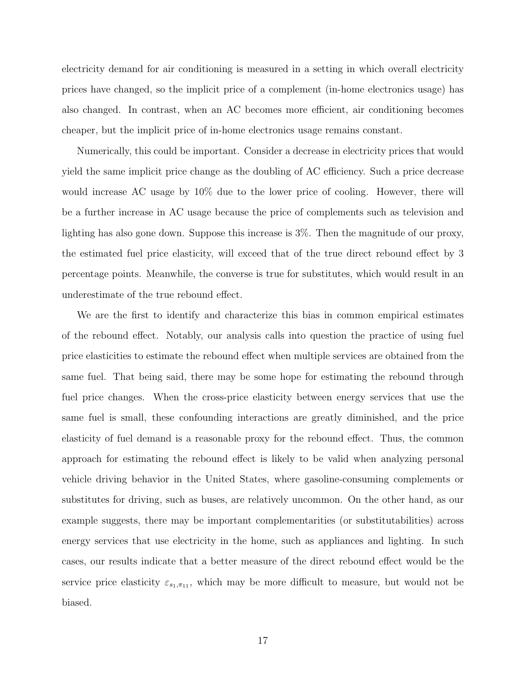electricity demand for air conditioning is measured in a setting in which overall electricity prices have changed, so the implicit price of a complement (in-home electronics usage) has also changed. In contrast, when an AC becomes more efficient, air conditioning becomes cheaper, but the implicit price of in-home electronics usage remains constant.

Numerically, this could be important. Consider a decrease in electricity prices that would yield the same implicit price change as the doubling of AC efficiency. Such a price decrease would increase AC usage by 10% due to the lower price of cooling. However, there will be a further increase in AC usage because the price of complements such as television and lighting has also gone down. Suppose this increase is 3%. Then the magnitude of our proxy, the estimated fuel price elasticity, will exceed that of the true direct rebound effect by 3 percentage points. Meanwhile, the converse is true for substitutes, which would result in an underestimate of the true rebound effect.

We are the first to identify and characterize this bias in common empirical estimates of the rebound effect. Notably, our analysis calls into question the practice of using fuel price elasticities to estimate the rebound effect when multiple services are obtained from the same fuel. That being said, there may be some hope for estimating the rebound through fuel price changes. When the cross-price elasticity between energy services that use the same fuel is small, these confounding interactions are greatly diminished, and the price elasticity of fuel demand is a reasonable proxy for the rebound effect. Thus, the common approach for estimating the rebound effect is likely to be valid when analyzing personal vehicle driving behavior in the United States, where gasoline-consuming complements or substitutes for driving, such as buses, are relatively uncommon. On the other hand, as our example suggests, there may be important complementarities (or substitutabilities) across energy services that use electricity in the home, such as appliances and lighting. In such cases, our results indicate that a better measure of the direct rebound effect would be the service price elasticity  $\varepsilon_{s_1,\pi_{11}}$ , which may be more difficult to measure, but would not be biased.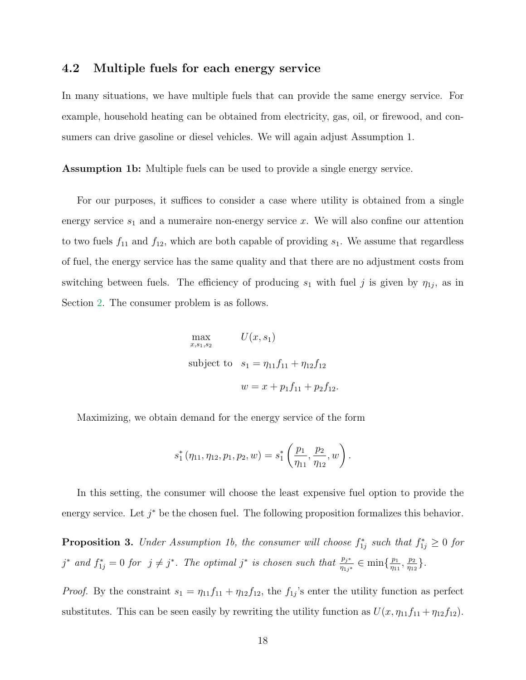### 4.2 Multiple fuels for each energy service

In many situations, we have multiple fuels that can provide the same energy service. For example, household heating can be obtained from electricity, gas, oil, or firewood, and consumers can drive gasoline or diesel vehicles. We will again adjust Assumption 1.

Assumption 1b: Multiple fuels can be used to provide a single energy service.

For our purposes, it suffices to consider a case where utility is obtained from a single energy service  $s_1$  and a numeraire non-energy service x. We will also confine our attention to two fuels  $f_{11}$  and  $f_{12}$ , which are both capable of providing  $s_1$ . We assume that regardless of fuel, the energy service has the same quality and that there are no adjustment costs from switching between fuels. The efficiency of producing  $s_1$  with fuel j is given by  $\eta_{1j}$ , as in Section [2.](#page-5-0) The consumer problem is as follows.

$$
\max_{x,s_1,s_2} U(x,s_1)
$$
  
subject to  $s_1 = \eta_{11}f_{11} + \eta_{12}f_{12}$   

$$
w = x + p_1f_{11} + p_2f_{12}.
$$

Maximizing, we obtain demand for the energy service of the form

$$
s_1^{\ast}(\eta_{11}, \eta_{12}, p_1, p_2, w) = s_1^{\ast}(\frac{p_1}{\eta_{11}}, \frac{p_2}{\eta_{12}}, w).
$$

In this setting, the consumer will choose the least expensive fuel option to provide the energy service. Let  $j^*$  be the chosen fuel. The following proposition formalizes this behavior.

**Proposition 3.** Under Assumption 1b, the consumer will choose  $f_{1j}^*$  such that  $f_{1j}^* \geq 0$  for j<sup>\*</sup> and  $f_{1j}^* = 0$  for  $j \neq j^*$ . The optimal j<sup>\*</sup> is chosen such that  $\frac{p_{j^*}}{\eta_{1j^*}} \in \min\{\frac{p_1}{\eta_{11}}\}$  $\frac{p_1}{\eta_{11}}, \frac{p_2}{\eta_{12}}$  $\frac{p_2}{\eta_{12}}\}$  .

*Proof.* By the constraint  $s_1 = \eta_{11} f_{11} + \eta_{12} f_{12}$ , the  $f_{1j}$ 's enter the utility function as perfect substitutes. This can be seen easily by rewriting the utility function as  $U(x, \eta_{11}f_{11} + \eta_{12}f_{12})$ .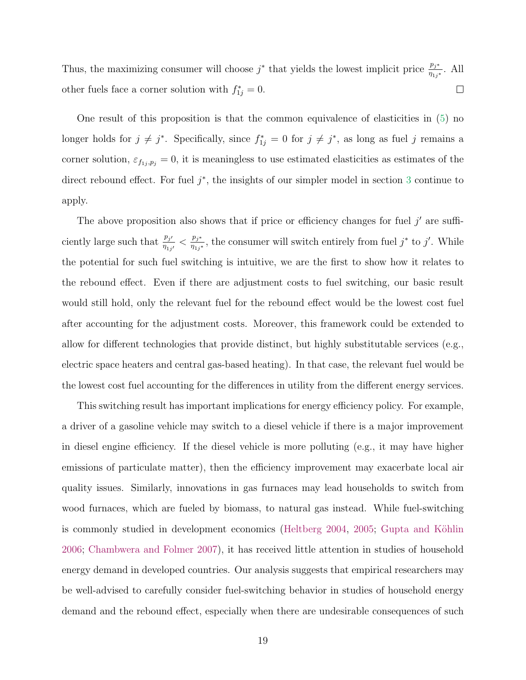Thus, the maximizing consumer will choose  $j^*$  that yields the lowest implicit price  $\frac{p_{j^*}}{\eta_{1j^*}}$ . All other fuels face a corner solution with  $f_{1j}^* = 0$ .  $\Box$ 

One result of this proposition is that the common equivalence of elasticities in [\(5\)](#page-8-0) no longer holds for  $j \neq j^*$ . Specifically, since  $f_{1j}^* = 0$  for  $j \neq j^*$ , as long as fuel j remains a corner solution,  $\varepsilon_{f_{1j},p_j} = 0$ , it is meaningless to use estimated elasticities as estimates of the direct rebound effect. For fuel  $j^*$ , the insights of our simpler model in section [3](#page-6-0) continue to apply.

The above proposition also shows that if price or efficiency changes for fuel  $j'$  are sufficiently large such that  $\frac{p_{j'}}{n}$  $\frac{p_{j'}}{\eta_{1j'}} < \frac{p_{j^*}}{\eta_{1j^*}}$  $\frac{p_{j^*}}{\eta_{1j^*}}$ , the consumer will switch entirely from fuel  $j^*$  to  $j'$ . While the potential for such fuel switching is intuitive, we are the first to show how it relates to the rebound effect. Even if there are adjustment costs to fuel switching, our basic result would still hold, only the relevant fuel for the rebound effect would be the lowest cost fuel after accounting for the adjustment costs. Moreover, this framework could be extended to allow for different technologies that provide distinct, but highly substitutable services (e.g., electric space heaters and central gas-based heating). In that case, the relevant fuel would be the lowest cost fuel accounting for the differences in utility from the different energy services.

This switching result has important implications for energy efficiency policy. For example, a driver of a gasoline vehicle may switch to a diesel vehicle if there is a major improvement in diesel engine efficiency. If the diesel vehicle is more polluting (e.g., it may have higher emissions of particulate matter), then the efficiency improvement may exacerbate local air quality issues. Similarly, innovations in gas furnaces may lead households to switch from wood furnaces, which are fueled by biomass, to natural gas instead. While fuel-switching is commonly studied in development economics [\(Heltberg](#page-32-7) [2004,](#page-32-7) [2005;](#page-32-8) Gupta and Köhlin [2006;](#page-32-9) [Chambwera and Folmer](#page-31-7) [2007\)](#page-31-7), it has received little attention in studies of household energy demand in developed countries. Our analysis suggests that empirical researchers may be well-advised to carefully consider fuel-switching behavior in studies of household energy demand and the rebound effect, especially when there are undesirable consequences of such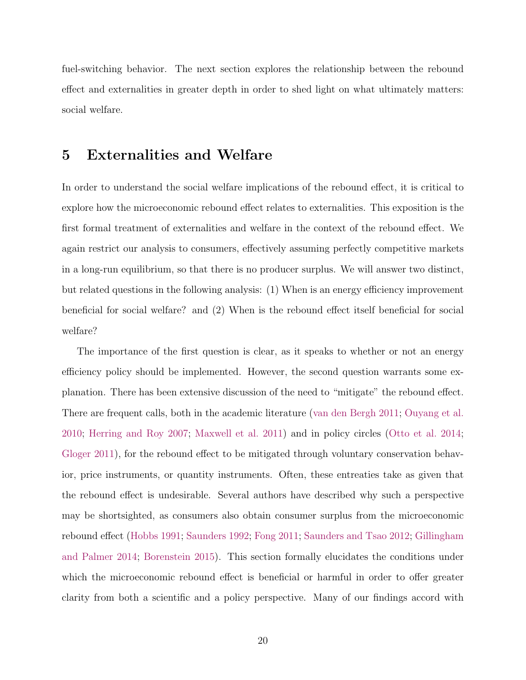fuel-switching behavior. The next section explores the relationship between the rebound effect and externalities in greater depth in order to shed light on what ultimately matters: social welfare.

### <span id="page-19-0"></span>5 Externalities and Welfare

In order to understand the social welfare implications of the rebound effect, it is critical to explore how the microeconomic rebound effect relates to externalities. This exposition is the first formal treatment of externalities and welfare in the context of the rebound effect. We again restrict our analysis to consumers, effectively assuming perfectly competitive markets in a long-run equilibrium, so that there is no producer surplus. We will answer two distinct, but related questions in the following analysis: (1) When is an energy efficiency improvement beneficial for social welfare? and (2) When is the rebound effect itself beneficial for social welfare?

The importance of the first question is clear, as it speaks to whether or not an energy efficiency policy should be implemented. However, the second question warrants some explanation. There has been extensive discussion of the need to "mitigate" the rebound effect. There are frequent calls, both in the academic literature [\(van den Bergh](#page-31-4) [2011;](#page-31-4) [Ouyang et al.](#page-33-4) [2010;](#page-33-4) [Herring and Roy](#page-33-5) [2007;](#page-33-5) [Maxwell et al.](#page-33-6) [2011\)](#page-33-6) and in policy circles [\(Otto et al.](#page-33-7) [2014;](#page-33-7) [Gloger](#page-32-4) [2011\)](#page-32-4), for the rebound effect to be mitigated through voluntary conservation behavior, price instruments, or quantity instruments. Often, these entreaties take as given that the rebound effect is undesirable. Several authors have described why such a perspective may be shortsighted, as consumers also obtain consumer surplus from the microeconomic rebound effect [\(Hobbs](#page-33-3) [1991;](#page-33-3) [Saunders](#page-34-8) [1992;](#page-34-8) [Fong](#page-31-8) [2011;](#page-31-8) [Saunders and Tsao](#page-34-9) [2012;](#page-34-9) [Gillingham](#page-32-5) [and Palmer](#page-32-5) [2014;](#page-32-5) [Borenstein](#page-31-1) [2015\)](#page-31-1). This section formally elucidates the conditions under which the microeconomic rebound effect is beneficial or harmful in order to offer greater clarity from both a scientific and a policy perspective. Many of our findings accord with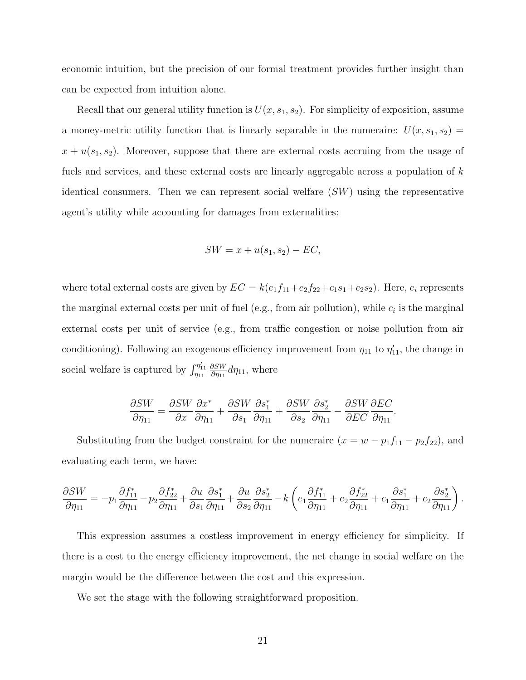economic intuition, but the precision of our formal treatment provides further insight than can be expected from intuition alone.

Recall that our general utility function is  $U(x, s_1, s_2)$ . For simplicity of exposition, assume a money-metric utility function that is linearly separable in the numeraire:  $U(x, s_1, s_2)$  =  $x + u(s_1, s_2)$ . Moreover, suppose that there are external costs accruing from the usage of fuels and services, and these external costs are linearly aggregable across a population of k identical consumers. Then we can represent social welfare  $(SW)$  using the representative agent's utility while accounting for damages from externalities:

$$
SW = x + u(s_1, s_2) - EC,
$$

where total external costs are given by  $EC = k(e_1f_{11}+e_2f_{22}+c_1s_1+c_2s_2)$ . Here,  $e_i$  represents the marginal external costs per unit of fuel (e.g., from air pollution), while  $c_i$  is the marginal external costs per unit of service (e.g., from traffic congestion or noise pollution from air conditioning). Following an exogenous efficiency improvement from  $\eta_{11}$  to  $\eta'_{11}$ , the change in social welfare is captured by  $\int_{\eta_{11}}^{\eta'_{11}}$ ∂SW  $\frac{\partial SW}{\partial \eta_{11}} d\eta_{11}$ , where

$$
\frac{\partial SW}{\partial \eta_{11}} = \frac{\partial SW}{\partial x} \frac{\partial x^*}{\partial \eta_{11}} + \frac{\partial SW}{\partial s_1} \frac{\partial s_1^*}{\partial \eta_{11}} + \frac{\partial SW}{\partial s_2} \frac{\partial s_2^*}{\partial \eta_{11}} - \frac{\partial SW}{\partial EC} \frac{\partial EC}{\partial \eta_{11}}.
$$

Substituting from the budget constraint for the numeraire  $(x = w - p_1 f_{11} - p_2 f_{22})$ , and evaluating each term, we have:

$$
\frac{\partial SW}{\partial \eta_{11}} = -p_1 \frac{\partial f_{11}^*}{\partial \eta_{11}} - p_2 \frac{\partial f_{22}^*}{\partial \eta_{11}} + \frac{\partial u}{\partial s_1} \frac{\partial s_1^*}{\partial \eta_{11}} + \frac{\partial u}{\partial s_2} \frac{\partial s_2^*}{\partial \eta_{11}} - k \left( e_1 \frac{\partial f_{11}^*}{\partial \eta_{11}} + e_2 \frac{\partial f_{22}^*}{\partial \eta_{11}} + c_1 \frac{\partial s_1^*}{\partial \eta_{11}} + c_2 \frac{\partial s_2^*}{\partial \eta_{11}} \right).
$$

This expression assumes a costless improvement in energy efficiency for simplicity. If there is a cost to the energy efficiency improvement, the net change in social welfare on the margin would be the difference between the cost and this expression.

We set the stage with the following straightforward proposition.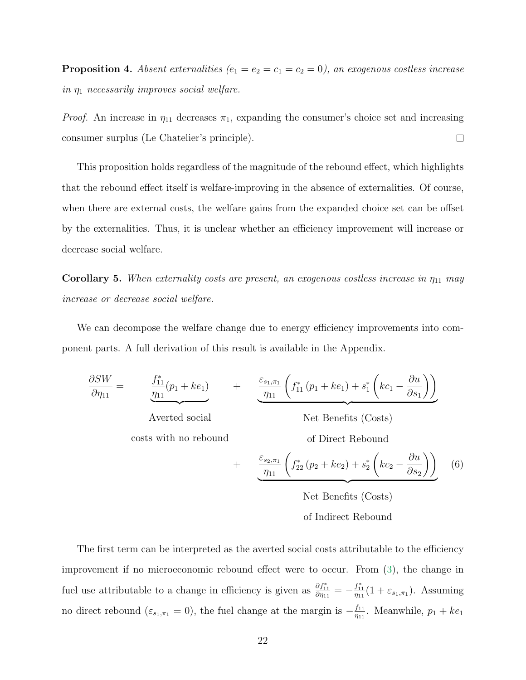**Proposition 4.** Absent externalities ( $e_1 = e_2 = c_1 = c_2 = 0$ ), an exogenous costless increase in  $\eta_1$  necessarily improves social welfare.

*Proof.* An increase in  $\eta_{11}$  decreases  $\pi_1$ , expanding the consumer's choice set and increasing consumer surplus (Le Chatelier's principle).  $\Box$ 

This proposition holds regardless of the magnitude of the rebound effect, which highlights that the rebound effect itself is welfare-improving in the absence of externalities. Of course, when there are external costs, the welfare gains from the expanded choice set can be offset by the externalities. Thus, it is unclear whether an efficiency improvement will increase or decrease social welfare.

**Corollary 5.** When externality costs are present, an exogenous costless increase in  $\eta_{11}$  may increase or decrease social welfare.

We can decompose the welfare change due to energy efficiency improvements into component parts. A full derivation of this result is available in the Appendix.

<span id="page-21-0"></span>
$$
\frac{\partial SW}{\partial \eta_{11}} = \frac{\int_{11}^{*} (p_1 + ke_1)}{\eta_{11}} + \frac{\varepsilon_{s_1, \pi_1}}{\eta_{11}} \left( f_{11}^{*} (p_1 + ke_1) + s_1^{*} \left( kc_1 - \frac{\partial u}{\partial s_1} \right) \right)
$$

Averted social

costs with no rebound

Net Benefits (Costs) of Direct Rebound

+ 
$$
\frac{\varepsilon_{s_2,\pi_1}}{\eta_{11}} \left( f_{22}^* \left( p_2 + k e_2 \right) + s_2^* \left( k c_2 - \frac{\partial u}{\partial s_2} \right) \right)
$$
 (6)

Net Benefits (Costs) of Indirect Rebound

The first term can be interpreted as the averted social costs attributable to the efficiency improvement if no microeconomic rebound effect were to occur. From [\(3\)](#page-7-1), the change in fuel use attributable to a change in efficiency is given as  $\frac{\partial f_{11}^*}{\partial \eta_{11}} = -\frac{f_{11}^*}{\eta_{11}}(1 + \varepsilon_{s_1,\pi_1})$ . Assuming no direct rebound ( $\varepsilon_{s_1,\pi_1} = 0$ ), the fuel change at the margin is  $-\frac{f_{11}}{n_1}$  $\frac{f_{11}}{\eta_{11}}$ . Meanwhile,  $p_1 + ke_1$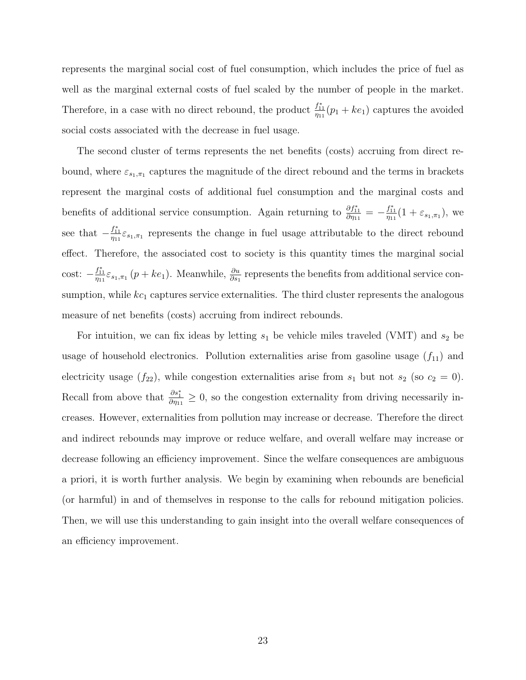represents the marginal social cost of fuel consumption, which includes the price of fuel as well as the marginal external costs of fuel scaled by the number of people in the market. Therefore, in a case with no direct rebound, the product  $\frac{f_{11}^*}{\eta_{11}}(p_1 + ke_1)$  captures the avoided social costs associated with the decrease in fuel usage.

The second cluster of terms represents the net benefits (costs) accruing from direct rebound, where  $\varepsilon_{s_1,\pi_1}$  captures the magnitude of the direct rebound and the terms in brackets represent the marginal costs of additional fuel consumption and the marginal costs and benefits of additional service consumption. Again returning to  $\frac{\partial f_{11}^*}{\partial \eta_{11}} = -\frac{f_{11}^*}{\eta_{11}}(1 + \varepsilon_{s_1,\pi_1}),$  we see that  $-\frac{f_{11}^*}{\eta_{11}}\varepsilon_{s_1,\pi_1}$  represents the change in fuel usage attributable to the direct rebound effect. Therefore, the associated cost to society is this quantity times the marginal social cost:  $-\frac{f_{11}^*}{\eta_{11}}\varepsilon_{s_1,\pi_1}(p+ke_1)$ . Meanwhile,  $\frac{\partial u}{\partial s_1}$  represents the benefits from additional service consumption, while  $kc_1$  captures service externalities. The third cluster represents the analogous measure of net benefits (costs) accruing from indirect rebounds.

For intuition, we can fix ideas by letting  $s_1$  be vehicle miles traveled (VMT) and  $s_2$  be usage of household electronics. Pollution externalities arise from gasoline usage  $(f_{11})$  and electricity usage  $(f_{22})$ , while congestion externalities arise from  $s_1$  but not  $s_2$  (so  $c_2 = 0$ ). Recall from above that  $\frac{\partial s_1^*}{\partial \eta_{11}} \geq 0$ , so the congestion externality from driving necessarily increases. However, externalities from pollution may increase or decrease. Therefore the direct and indirect rebounds may improve or reduce welfare, and overall welfare may increase or decrease following an efficiency improvement. Since the welfare consequences are ambiguous a priori, it is worth further analysis. We begin by examining when rebounds are beneficial (or harmful) in and of themselves in response to the calls for rebound mitigation policies. Then, we will use this understanding to gain insight into the overall welfare consequences of an efficiency improvement.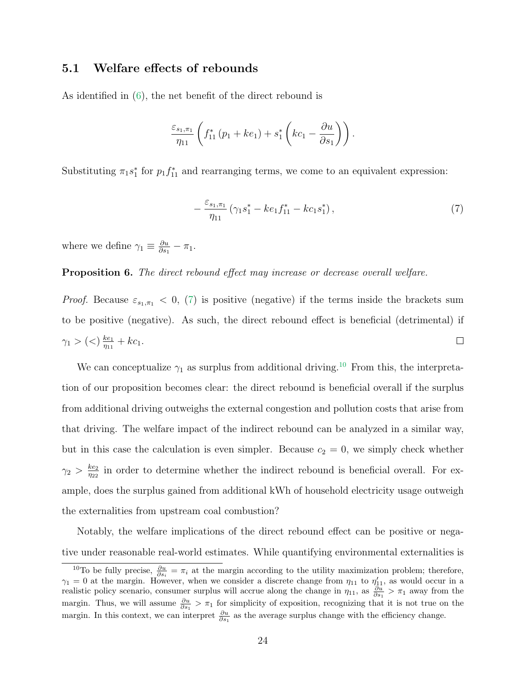### 5.1 Welfare effects of rebounds

As identified in [\(6\)](#page-21-0), the net benefit of the direct rebound is

$$
\frac{\varepsilon_{s_1,\pi_1}}{\eta_{11}}\left(f_{11}^*\left(p_1+ke_1\right)+s_1^*\left(kc_1-\frac{\partial u}{\partial s_1}\right)\right).
$$

Substituting  $\pi_1 s_1^*$  for  $p_1 f_{11}^*$  and rearranging terms, we come to an equivalent expression:

<span id="page-23-0"></span>
$$
-\frac{\varepsilon_{s_1,\pi_1}}{\eta_{11}}\left(\gamma_1s_1^* - ke_1f_{11}^* - ke_1s_1^*\right),\tag{7}
$$

where we define  $\gamma_1 \equiv \frac{\partial u}{\partial s_1}$  $\frac{\partial u}{\partial s_1}-\pi_1.$ 

#### Proposition 6. The direct rebound effect may increase or decrease overall welfare.

*Proof.* Because  $\varepsilon_{s_1,\pi_1} < 0$ , [\(7\)](#page-23-0) is positive (negative) if the terms inside the brackets sum to be positive (negative). As such, the direct rebound effect is beneficial (detrimental) if  $\gamma_1 > (<) \frac{ke_1}{n_{11}}$  $\frac{ke_1}{\eta_{11}} + kc_1.$  $\Box$ 

We can conceptualize  $\gamma_1$  as surplus from additional driving.<sup>[10](#page-0-0)</sup> From this, the interpretation of our proposition becomes clear: the direct rebound is beneficial overall if the surplus from additional driving outweighs the external congestion and pollution costs that arise from that driving. The welfare impact of the indirect rebound can be analyzed in a similar way, but in this case the calculation is even simpler. Because  $c_2 = 0$ , we simply check whether  $\gamma_2 > \frac{ke_2}{n_{22}}$  $\frac{ke_2}{\eta_{22}}$  in order to determine whether the indirect rebound is beneficial overall. For example, does the surplus gained from additional kWh of household electricity usage outweigh the externalities from upstream coal combustion?

Notably, the welfare implications of the direct rebound effect can be positive or negative under reasonable real-world estimates. While quantifying environmental externalities is

<sup>&</sup>lt;sup>10</sup>To be fully precise,  $\frac{\partial u}{\partial s_i} = \pi_i$  at the margin according to the utility maximization problem; therefore,  $\gamma_1 = 0$  at the margin. However, when we consider a discrete change from  $\eta_{11}$  to  $\eta'_{11}$ , as would occur in a realistic policy scenario, consumer surplus will accrue along the change in  $\eta_{11}$ , as  $\frac{\partial u}{\partial s_1} > \pi_1$  away from the margin. Thus, we will assume  $\frac{\partial u}{\partial s_1} > \pi_1$  for simplicity of exposition, recognizing that it is not true on the margin. In this context, we can interpret  $\frac{\partial u}{\partial s_1}$  as the average surplus change with the efficiency change.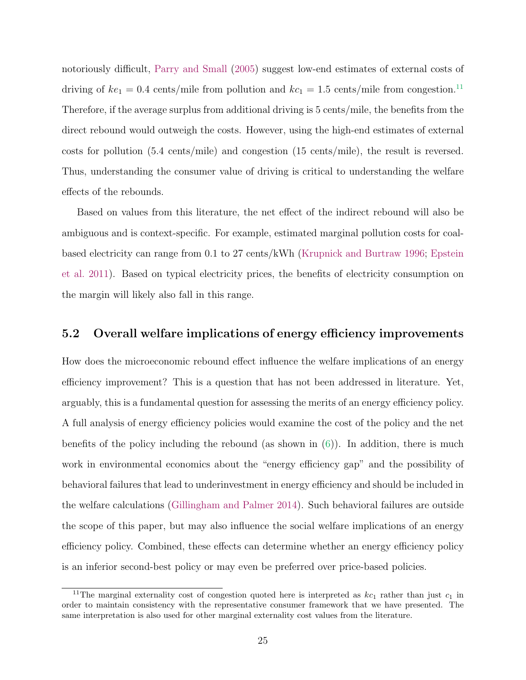notoriously difficult, [Parry and Small](#page-33-9) [\(2005\)](#page-33-9) suggest low-end estimates of external costs of driving of  $ke_1 = 0.4$  cents/mile from pollution and  $kc_1 = 1.5$  cents/mile from congestion.<sup>[11](#page-0-0)</sup> Therefore, if the average surplus from additional driving is 5 cents/mile, the benefits from the direct rebound would outweigh the costs. However, using the high-end estimates of external costs for pollution (5.4 cents/mile) and congestion (15 cents/mile), the result is reversed. Thus, understanding the consumer value of driving is critical to understanding the welfare effects of the rebounds.

Based on values from this literature, the net effect of the indirect rebound will also be ambiguous and is context-specific. For example, estimated marginal pollution costs for coalbased electricity can range from 0.1 to 27 cents/kWh [\(Krupnick and Burtraw](#page-33-10) [1996;](#page-33-10) [Epstein](#page-31-9) [et al.](#page-31-9) [2011\)](#page-31-9). Based on typical electricity prices, the benefits of electricity consumption on the margin will likely also fall in this range.

#### 5.2 Overall welfare implications of energy efficiency improvements

How does the microeconomic rebound effect influence the welfare implications of an energy efficiency improvement? This is a question that has not been addressed in literature. Yet, arguably, this is a fundamental question for assessing the merits of an energy efficiency policy. A full analysis of energy efficiency policies would examine the cost of the policy and the net benefits of the policy including the rebound (as shown in  $(6)$ ). In addition, there is much work in environmental economics about the "energy efficiency gap" and the possibility of behavioral failures that lead to underinvestment in energy efficiency and should be included in the welfare calculations [\(Gillingham and Palmer](#page-32-5) [2014\)](#page-32-5). Such behavioral failures are outside the scope of this paper, but may also influence the social welfare implications of an energy efficiency policy. Combined, these effects can determine whether an energy efficiency policy is an inferior second-best policy or may even be preferred over price-based policies.

<sup>&</sup>lt;sup>11</sup>The marginal externality cost of congestion quoted here is interpreted as  $kc_1$  rather than just  $c_1$  in order to maintain consistency with the representative consumer framework that we have presented. The same interpretation is also used for other marginal externality cost values from the literature.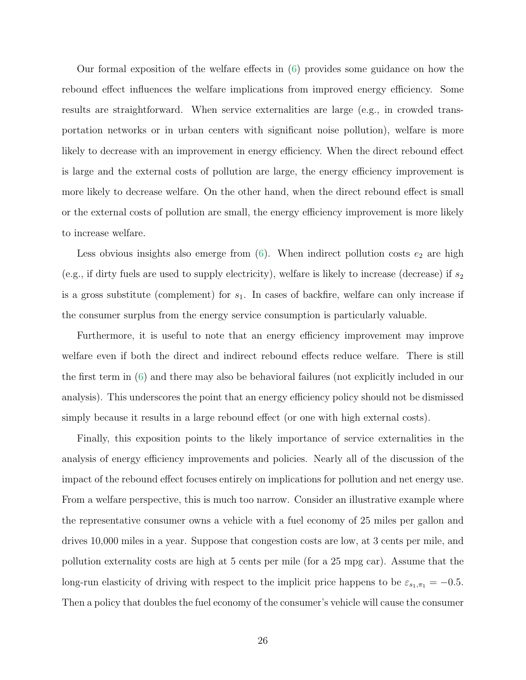Our formal exposition of the welfare effects in [\(6\)](#page-21-0) provides some guidance on how the rebound effect influences the welfare implications from improved energy efficiency. Some results are straightforward. When service externalities are large (e.g., in crowded transportation networks or in urban centers with significant noise pollution), welfare is more likely to decrease with an improvement in energy efficiency. When the direct rebound effect is large and the external costs of pollution are large, the energy efficiency improvement is more likely to decrease welfare. On the other hand, when the direct rebound effect is small or the external costs of pollution are small, the energy efficiency improvement is more likely to increase welfare.

Less obvious insights also emerge from  $(6)$ . When indirect pollution costs  $e_2$  are high (e.g., if dirty fuels are used to supply electricity), welfare is likely to increase (decrease) if  $s_2$ is a gross substitute (complement) for  $s_1$ . In cases of backfire, welfare can only increase if the consumer surplus from the energy service consumption is particularly valuable.

Furthermore, it is useful to note that an energy efficiency improvement may improve welfare even if both the direct and indirect rebound effects reduce welfare. There is still the first term in [\(6\)](#page-21-0) and there may also be behavioral failures (not explicitly included in our analysis). This underscores the point that an energy efficiency policy should not be dismissed simply because it results in a large rebound effect (or one with high external costs).

Finally, this exposition points to the likely importance of service externalities in the analysis of energy efficiency improvements and policies. Nearly all of the discussion of the impact of the rebound effect focuses entirely on implications for pollution and net energy use. From a welfare perspective, this is much too narrow. Consider an illustrative example where the representative consumer owns a vehicle with a fuel economy of 25 miles per gallon and drives 10,000 miles in a year. Suppose that congestion costs are low, at 3 cents per mile, and pollution externality costs are high at 5 cents per mile (for a 25 mpg car). Assume that the long-run elasticity of driving with respect to the implicit price happens to be  $\varepsilon_{s_1,\pi_1} = -0.5$ . Then a policy that doubles the fuel economy of the consumer's vehicle will cause the consumer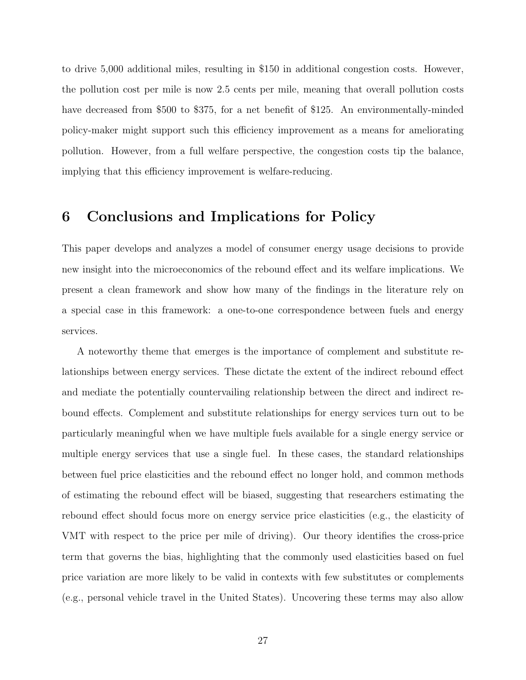to drive 5,000 additional miles, resulting in \$150 in additional congestion costs. However, the pollution cost per mile is now 2.5 cents per mile, meaning that overall pollution costs have decreased from \$500 to \$375, for a net benefit of \$125. An environmentally-minded policy-maker might support such this efficiency improvement as a means for ameliorating pollution. However, from a full welfare perspective, the congestion costs tip the balance, implying that this efficiency improvement is welfare-reducing.

# 6 Conclusions and Implications for Policy

This paper develops and analyzes a model of consumer energy usage decisions to provide new insight into the microeconomics of the rebound effect and its welfare implications. We present a clean framework and show how many of the findings in the literature rely on a special case in this framework: a one-to-one correspondence between fuels and energy services.

A noteworthy theme that emerges is the importance of complement and substitute relationships between energy services. These dictate the extent of the indirect rebound effect and mediate the potentially countervailing relationship between the direct and indirect rebound effects. Complement and substitute relationships for energy services turn out to be particularly meaningful when we have multiple fuels available for a single energy service or multiple energy services that use a single fuel. In these cases, the standard relationships between fuel price elasticities and the rebound effect no longer hold, and common methods of estimating the rebound effect will be biased, suggesting that researchers estimating the rebound effect should focus more on energy service price elasticities (e.g., the elasticity of VMT with respect to the price per mile of driving). Our theory identifies the cross-price term that governs the bias, highlighting that the commonly used elasticities based on fuel price variation are more likely to be valid in contexts with few substitutes or complements (e.g., personal vehicle travel in the United States). Uncovering these terms may also allow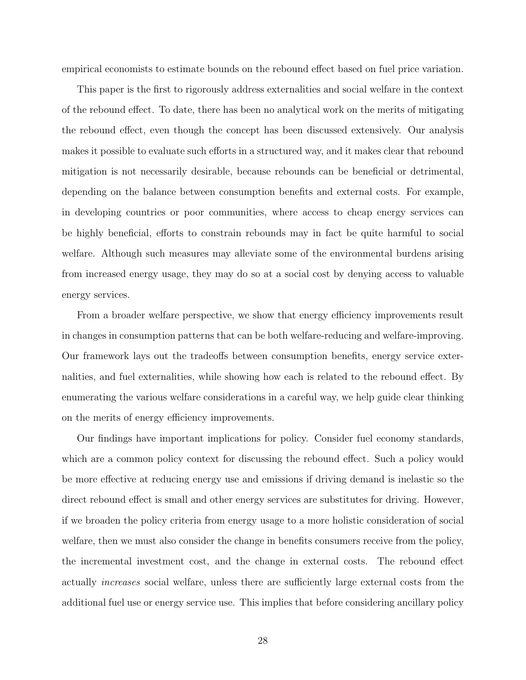empirical economists to estimate bounds on the rebound effect based on fuel price variation.

This paper is the first to rigorously address externalities and social welfare in the context of the rebound effect. To date, there has been no analytical work on the merits of mitigating the rebound effect, even though the concept has been discussed extensively. Our analysis makes it possible to evaluate such efforts in a structured way, and it makes clear that rebound mitigation is not necessarily desirable, because rebounds can be beneficial or detrimental, depending on the balance between consumption benefits and external costs. For example, in developing countries or poor communities, where access to cheap energy services can be highly beneficial, efforts to constrain rebounds may in fact be quite harmful to social welfare. Although such measures may alleviate some of the environmental burdens arising from increased energy usage, they may do so at a social cost by denying access to valuable energy services.

From a broader welfare perspective, we show that energy efficiency improvements result in changes in consumption patterns that can be both welfare-reducing and welfare-improving. Our framework lays out the tradeoffs between consumption benefits, energy service externalities, and fuel externalities, while showing how each is related to the rebound effect. By enumerating the various welfare considerations in a careful way, we help guide clear thinking on the merits of energy efficiency improvements.

Our findings have important implications for policy. Consider fuel economy standards, which are a common policy context for discussing the rebound effect. Such a policy would be more effective at reducing energy use and emissions if driving demand is inelastic so the direct rebound effect is small and other energy services are substitutes for driving. However, if we broaden the policy criteria from energy usage to a more holistic consideration of social welfare, then we must also consider the change in benefits consumers receive from the policy, the incremental investment cost, and the change in external costs. The rebound effect actually increases social welfare, unless there are sufficiently large external costs from the additional fuel use or energy service use. This implies that before considering ancillary policy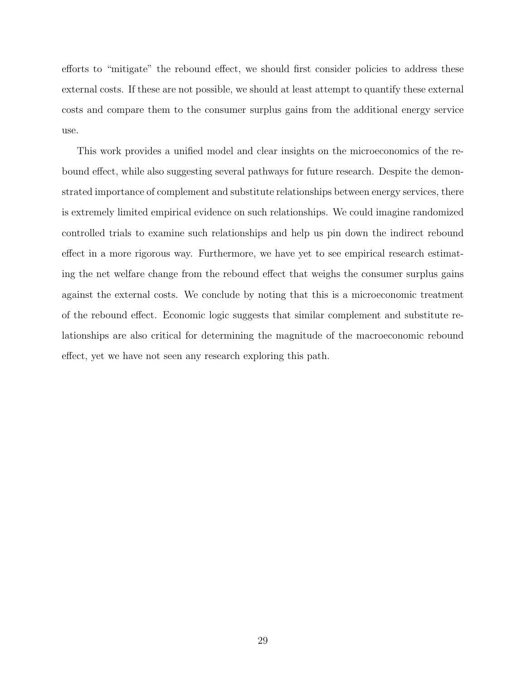efforts to "mitigate" the rebound effect, we should first consider policies to address these external costs. If these are not possible, we should at least attempt to quantify these external costs and compare them to the consumer surplus gains from the additional energy service use.

This work provides a unified model and clear insights on the microeconomics of the rebound effect, while also suggesting several pathways for future research. Despite the demonstrated importance of complement and substitute relationships between energy services, there is extremely limited empirical evidence on such relationships. We could imagine randomized controlled trials to examine such relationships and help us pin down the indirect rebound effect in a more rigorous way. Furthermore, we have yet to see empirical research estimating the net welfare change from the rebound effect that weighs the consumer surplus gains against the external costs. We conclude by noting that this is a microeconomic treatment of the rebound effect. Economic logic suggests that similar complement and substitute relationships are also critical for determining the magnitude of the macroeconomic rebound effect, yet we have not seen any research exploring this path.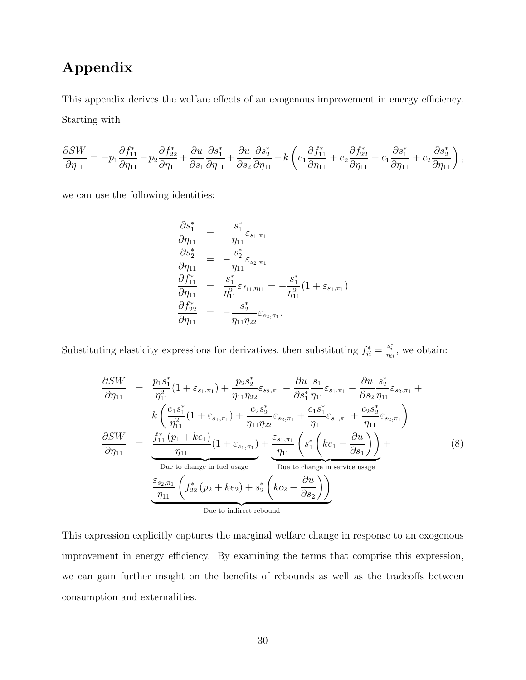# Appendix

This appendix derives the welfare effects of an exogenous improvement in energy efficiency. Starting with

$$
\frac{\partial SW}{\partial \eta_{11}} = -p_1 \frac{\partial f_{11}^*}{\partial \eta_{11}} - p_2 \frac{\partial f_{22}^*}{\partial \eta_{11}} + \frac{\partial u}{\partial s_1} \frac{\partial s_1^*}{\partial \eta_{11}} + \frac{\partial u}{\partial s_2} \frac{\partial s_2^*}{\partial \eta_{11}} - k \left( e_1 \frac{\partial f_{11}^*}{\partial \eta_{11}} + e_2 \frac{\partial f_{22}^*}{\partial \eta_{11}} + c_1 \frac{\partial s_1^*}{\partial \eta_{11}} + c_2 \frac{\partial s_2^*}{\partial \eta_{11}} \right),
$$

we can use the following identities:

$$
\begin{array}{rcl}\n\frac{\partial s_1^*}{\partial \eta_{11}} & = & -\frac{s_1^*}{\eta_{11}} \varepsilon_{s_1, \pi_1} \\
\frac{\partial s_2^*}{\partial \eta_{11}} & = & -\frac{s_2^*}{\eta_{11}} \varepsilon_{s_2, \pi_1} \\
\frac{\partial f_{11}^*}{\partial \eta_{11}} & = & \frac{s_1^*}{\eta_{11}^2} \varepsilon_{f_{11}, \eta_{11}} = -\frac{s_1^*}{\eta_{11}^2} (1 + \varepsilon_{s_1, \pi_1}) \\
\frac{\partial f_{22}^*}{\partial \eta_{11}} & = & -\frac{s_2^*}{\eta_{11} \eta_{22}} \varepsilon_{s_2, \pi_1}.\n\end{array}
$$

Substituting elasticity expressions for derivatives, then substituting  $f_{ii}^* = \frac{s_i^*}{\eta_{ii}}$ , we obtain:

$$
\frac{\partial SW}{\partial \eta_{11}} = \frac{p_1 s_1^*}{\eta_{11}^2} (1 + \varepsilon_{s_1, \pi_1}) + \frac{p_2 s_2^*}{\eta_{11} \eta_{22}} \varepsilon_{s_2, \pi_1} - \frac{\partial u}{\partial s_1^*} \frac{s_1}{\eta_{11}} \varepsilon_{s_1, \pi_1} - \frac{\partial u}{\partial s_2} \frac{s_2^*}{\eta_{11}} \varepsilon_{s_2, \pi_1} + \frac{k \left( \frac{e_1 s_1^*}{\eta_{11}^2} (1 + \varepsilon_{s_1, \pi_1}) + \frac{e_2 s_2^*}{\eta_{11} \eta_{22}} \varepsilon_{s_2, \pi_1} + \frac{c_1 s_1^*}{\eta_{11}} \varepsilon_{s_1, \pi_1} + \frac{c_2 s_2^*}{\eta_{11}} \varepsilon_{s_2, \pi_1} \right)}{\frac{\partial SW}{\partial \eta_{11}}} = \frac{\int_{11}^{*} (p_1 + ke_1)}{\eta_{11}} (1 + \varepsilon_{s_1, \pi_1}) + \frac{\varepsilon_{s_1, \pi_1}}{\eta_{11}} \left( s_1^* \left( ke_1 - \frac{\partial u}{\partial s_1} \right) \right) + \frac{\eta_{11}}{\eta_{11}} \left( s_1^* \left( ke_1 - \frac{\partial u}{\partial s_1} \right) \right)}{\frac{\eta_{11}}{\eta_{11}} \left( f_{22}^* \left( p_2 + ke_2 \right) + s_2^* \left( ke_2 - \frac{\partial u}{\partial s_2} \right) \right)}
$$
\nDue to charge in service usage\n
$$
\frac{\varepsilon_{s_2, \pi_1}}{\eta_{11}} \left( f_{22}^* \left( p_2 + ke_2 \right) + \frac{e_2^* \left( ke_2 - \frac{\partial u}{\partial s_2} \right)}{\frac{\partial u}{\partial s_2}} \right)
$$
\nDue to indirect rebound

This expression explicitly captures the marginal welfare change in response to an exogenous improvement in energy efficiency. By examining the terms that comprise this expression, we can gain further insight on the benefits of rebounds as well as the tradeoffs between consumption and externalities.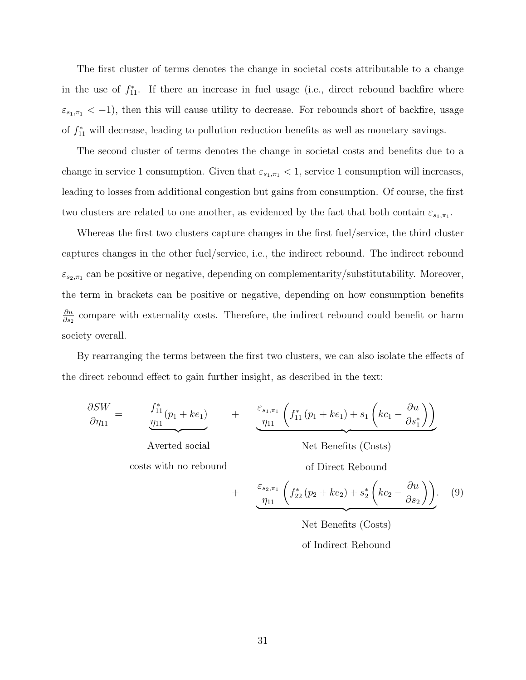The first cluster of terms denotes the change in societal costs attributable to a change in the use of  $f_{11}^*$ . If there an increase in fuel usage (i.e., direct rebound backfire where  $\varepsilon_{s_1,\pi_1} < -1$ ), then this will cause utility to decrease. For rebounds short of backfire, usage of  $f_{11}^*$  will decrease, leading to pollution reduction benefits as well as monetary savings.

The second cluster of terms denotes the change in societal costs and benefits due to a change in service 1 consumption. Given that  $\varepsilon_{s_1,\pi_1} < 1$ , service 1 consumption will increases, leading to losses from additional congestion but gains from consumption. Of course, the first two clusters are related to one another, as evidenced by the fact that both contain  $\varepsilon_{s_1,\pi_1}$ .

Whereas the first two clusters capture changes in the first fuel/service, the third cluster captures changes in the other fuel/service, i.e., the indirect rebound. The indirect rebound  $\varepsilon_{s_2,\pi_1}$  can be positive or negative, depending on complementarity/substitutability. Moreover, the term in brackets can be positive or negative, depending on how consumption benefits ∂u  $\frac{\partial u}{\partial s_2}$  compare with externality costs. Therefore, the indirect rebound could benefit or harm society overall.

By rearranging the terms between the first two clusters, we can also isolate the effects of the direct rebound effect to gain further insight, as described in the text:

$$
\frac{\partial SW}{\partial \eta_{11}} = \underbrace{\frac{f_{11}^*}{\eta_{11}}(p_1 + ke_1)}_{\text{Averted social}} + \underbrace{\frac{\varepsilon_{s_1,\pi_1}}{\eta_{11}} \left( f_{11}^*(p_1 + ke_1) + s_1 \left( ke_1 - \frac{\partial u}{\partial s_1^*} \right) \right)}_{\text{Net Benefits (Costs)}}
$$
\n
$$
\text{costs with no rebound} + \underbrace{\frac{\varepsilon_{s_2,\pi_1}}{\eta_{11}} \left( f_{22}^*(p_2 + ke_2) + s_2^* \left( ke_2 - \frac{\partial u}{\partial s_2} \right) \right)}_{\text{Net Benefits (Costs)}}.
$$
\n
$$
\text{Net Benefits (Costs)}
$$
\n
$$
\text{of Indirect Rebound}
$$
\n(9)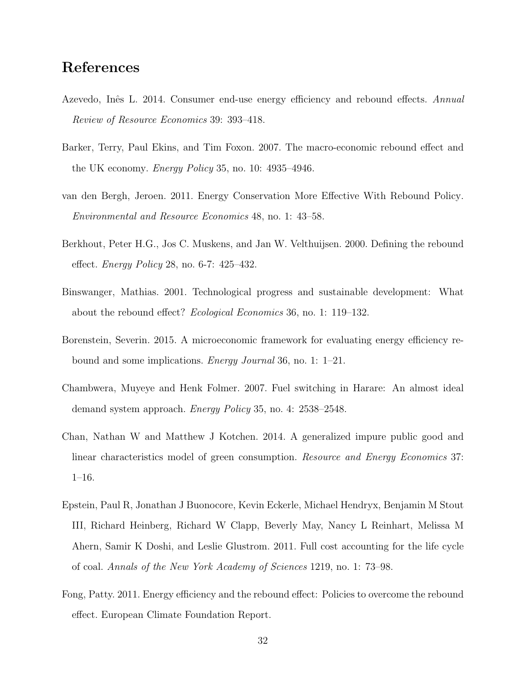# References

- <span id="page-31-0"></span>Azevedo, Inês L. 2014. Consumer end-use energy efficiency and rebound effects. Annual Review of Resource Economics 39: 393–418.
- <span id="page-31-5"></span>Barker, Terry, Paul Ekins, and Tim Foxon. 2007. The macro-economic rebound effect and the UK economy. Energy Policy 35, no. 10: 4935–4946.
- <span id="page-31-4"></span>van den Bergh, Jeroen. 2011. Energy Conservation More Effective With Rebound Policy. Environmental and Resource Economics 48, no. 1: 43–58.
- <span id="page-31-2"></span>Berkhout, Peter H.G., Jos C. Muskens, and Jan W. Velthuijsen. 2000. Defining the rebound effect. Energy Policy 28, no. 6-7: 425–432.
- <span id="page-31-3"></span>Binswanger, Mathias. 2001. Technological progress and sustainable development: What about the rebound effect? Ecological Economics 36, no. 1: 119–132.
- <span id="page-31-1"></span>Borenstein, Severin. 2015. A microeconomic framework for evaluating energy efficiency rebound and some implications. Energy Journal 36, no. 1: 1–21.
- <span id="page-31-7"></span>Chambwera, Muyeye and Henk Folmer. 2007. Fuel switching in Harare: An almost ideal demand system approach. Energy Policy 35, no. 4: 2538–2548.
- <span id="page-31-6"></span>Chan, Nathan W and Matthew J Kotchen. 2014. A generalized impure public good and linear characteristics model of green consumption. Resource and Energy Economics 37: 1–16.
- <span id="page-31-9"></span>Epstein, Paul R, Jonathan J Buonocore, Kevin Eckerle, Michael Hendryx, Benjamin M Stout III, Richard Heinberg, Richard W Clapp, Beverly May, Nancy L Reinhart, Melissa M Ahern, Samir K Doshi, and Leslie Glustrom. 2011. Full cost accounting for the life cycle of coal. Annals of the New York Academy of Sciences 1219, no. 1: 73–98.
- <span id="page-31-8"></span>Fong, Patty. 2011. Energy efficiency and the rebound effect: Policies to overcome the rebound effect. European Climate Foundation Report.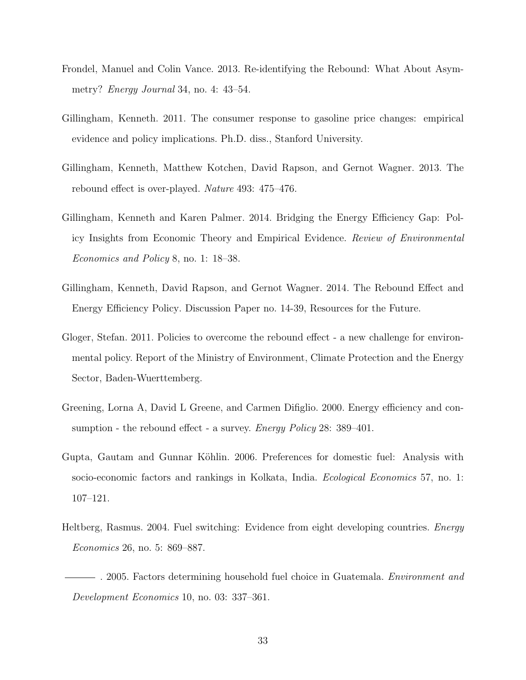- <span id="page-32-1"></span>Frondel, Manuel and Colin Vance. 2013. Re-identifying the Rebound: What About Asymmetry? Energy Journal 34, no. 4: 43–54.
- <span id="page-32-2"></span>Gillingham, Kenneth. 2011. The consumer response to gasoline price changes: empirical evidence and policy implications. Ph.D. diss., Stanford University.
- <span id="page-32-0"></span>Gillingham, Kenneth, Matthew Kotchen, David Rapson, and Gernot Wagner. 2013. The rebound effect is over-played. Nature 493: 475–476.
- <span id="page-32-5"></span>Gillingham, Kenneth and Karen Palmer. 2014. Bridging the Energy Efficiency Gap: Policy Insights from Economic Theory and Empirical Evidence. Review of Environmental Economics and Policy 8, no. 1: 18–38.
- <span id="page-32-3"></span>Gillingham, Kenneth, David Rapson, and Gernot Wagner. 2014. The Rebound Effect and Energy Efficiency Policy. Discussion Paper no. 14-39, Resources for the Future.
- <span id="page-32-4"></span>Gloger, Stefan. 2011. Policies to overcome the rebound effect - a new challenge for environmental policy. Report of the Ministry of Environment, Climate Protection and the Energy Sector, Baden-Wuerttemberg.
- <span id="page-32-6"></span>Greening, Lorna A, David L Greene, and Carmen Difiglio. 2000. Energy efficiency and consumption - the rebound effect - a survey. *Energy Policy* 28: 389–401.
- <span id="page-32-9"></span>Gupta, Gautam and Gunnar Köhlin. 2006. Preferences for domestic fuel: Analysis with socio-economic factors and rankings in Kolkata, India. Ecological Economics 57, no. 1: 107–121.
- <span id="page-32-8"></span><span id="page-32-7"></span>Heltberg, Rasmus. 2004. Fuel switching: Evidence from eight developing countries. Energy Economics 26, no. 5: 869–887.
	- $-$ . 2005. Factors determining household fuel choice in Guatemala. *Environment and* Development Economics 10, no. 03: 337–361.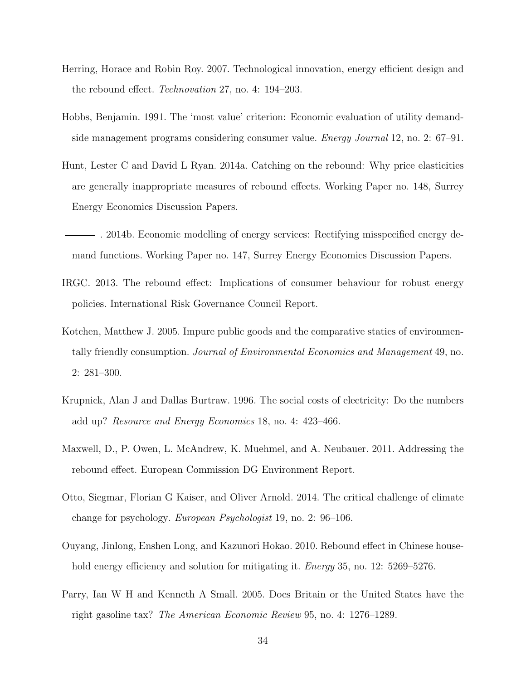- <span id="page-33-5"></span>Herring, Horace and Robin Roy. 2007. Technological innovation, energy efficient design and the rebound effect. Technovation 27, no. 4: 194–203.
- <span id="page-33-3"></span>Hobbs, Benjamin. 1991. The 'most value' criterion: Economic evaluation of utility demandside management programs considering consumer value. Energy Journal 12, no. 2: 67–91.
- <span id="page-33-1"></span>Hunt, Lester C and David L Ryan. 2014a. Catching on the rebound: Why price elasticities are generally inappropriate measures of rebound effects. Working Paper no. 148, Surrey Energy Economics Discussion Papers.
- <span id="page-33-2"></span>. 2014b. Economic modelling of energy services: Rectifying misspecified energy demand functions. Working Paper no. 147, Surrey Energy Economics Discussion Papers.
- <span id="page-33-0"></span>IRGC. 2013. The rebound effect: Implications of consumer behaviour for robust energy policies. International Risk Governance Council Report.
- <span id="page-33-8"></span>Kotchen, Matthew J. 2005. Impure public goods and the comparative statics of environmentally friendly consumption. Journal of Environmental Economics and Management 49, no. 2: 281–300.
- <span id="page-33-10"></span>Krupnick, Alan J and Dallas Burtraw. 1996. The social costs of electricity: Do the numbers add up? Resource and Energy Economics 18, no. 4: 423–466.
- <span id="page-33-6"></span>Maxwell, D., P. Owen, L. McAndrew, K. Muehmel, and A. Neubauer. 2011. Addressing the rebound effect. European Commission DG Environment Report.
- <span id="page-33-7"></span>Otto, Siegmar, Florian G Kaiser, and Oliver Arnold. 2014. The critical challenge of climate change for psychology. European Psychologist 19, no. 2: 96–106.
- <span id="page-33-4"></span>Ouyang, Jinlong, Enshen Long, and Kazunori Hokao. 2010. Rebound effect in Chinese household energy efficiency and solution for mitigating it. *Energy* 35, no. 12: 5269–5276.
- <span id="page-33-9"></span>Parry, Ian W H and Kenneth A Small. 2005. Does Britain or the United States have the right gasoline tax? The American Economic Review 95, no. 4: 1276–1289.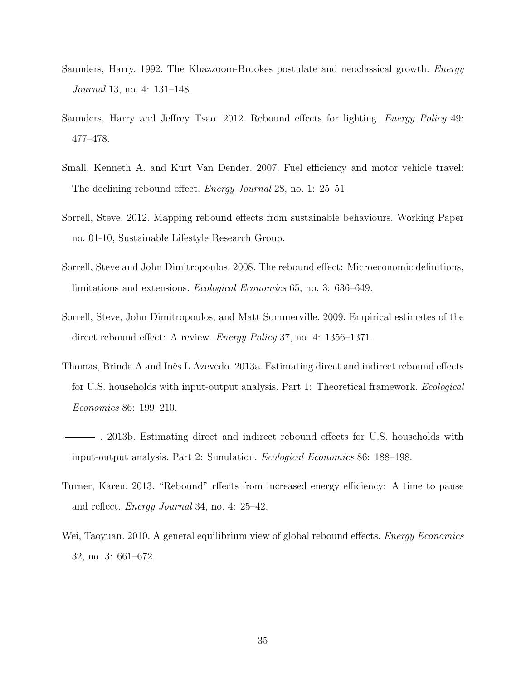- <span id="page-34-8"></span>Saunders, Harry. 1992. The Khazzoom-Brookes postulate and neoclassical growth. Energy Journal 13, no. 4: 131–148.
- <span id="page-34-9"></span>Saunders, Harry and Jeffrey Tsao. 2012. Rebound effects for lighting. Energy Policy 49: 477–478.
- <span id="page-34-2"></span>Small, Kenneth A. and Kurt Van Dender. 2007. Fuel efficiency and motor vehicle travel: The declining rebound effect. Energy Journal 28, no. 1: 25–51.
- <span id="page-34-6"></span>Sorrell, Steve. 2012. Mapping rebound effects from sustainable behaviours. Working Paper no. 01-10, Sustainable Lifestyle Research Group.
- <span id="page-34-1"></span>Sorrell, Steve and John Dimitropoulos. 2008. The rebound effect: Microeconomic definitions, limitations and extensions. Ecological Economics 65, no. 3: 636–649.
- <span id="page-34-0"></span>Sorrell, Steve, John Dimitropoulos, and Matt Sommerville. 2009. Empirical estimates of the direct rebound effect: A review. Energy Policy 37, no. 4: 1356–1371.
- <span id="page-34-5"></span>Thomas, Brinda A and Inês L Azevedo. 2013a. Estimating direct and indirect rebound effects for U.S. households with input-output analysis. Part 1: Theoretical framework. Ecological Economics 86: 199–210.
- <span id="page-34-7"></span>. 2013b. Estimating direct and indirect rebound effects for U.S. households with input-output analysis. Part 2: Simulation. Ecological Economics 86: 188–198.
- <span id="page-34-3"></span>Turner, Karen. 2013. "Rebound" rffects from increased energy efficiency: A time to pause and reflect. Energy Journal 34, no. 4: 25–42.
- <span id="page-34-4"></span>Wei, Taoyuan. 2010. A general equilibrium view of global rebound effects. *Energy Economics* 32, no. 3: 661–672.